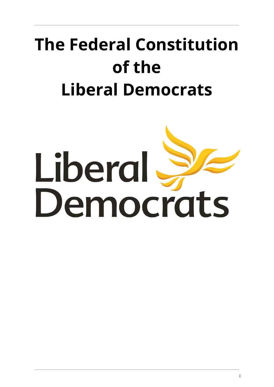# **The Federal Constitution of the Liberal Democrats**

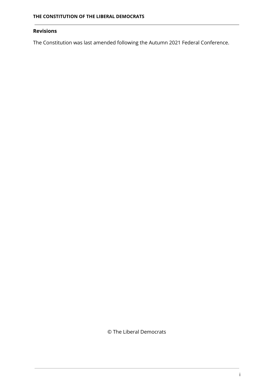#### **Revisions**

The Constitution was last amended following the Autumn 2021 Federal Conference.

© The Liberal Democrats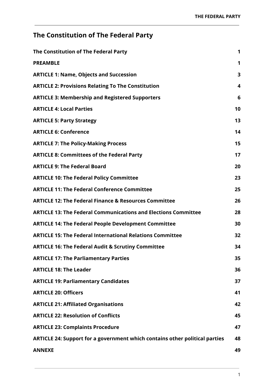# <span id="page-2-0"></span>**The Constitution of The Federal Party**

| The Constitution of The Federal Party                                       | 1  |
|-----------------------------------------------------------------------------|----|
| <b>PREAMBLE</b>                                                             | 1  |
| <b>ARTICLE 1: Name, Objects and Succession</b>                              | 3  |
| <b>ARTICLE 2: Provisions Relating To The Constitution</b>                   | 4  |
| <b>ARTICLE 3: Membership and Registered Supporters</b>                      | 6  |
| <b>ARTICLE 4: Local Parties</b>                                             | 10 |
| <b>ARTICLE 5: Party Strategy</b>                                            | 13 |
| <b>ARTICLE 6: Conference</b>                                                | 14 |
| <b>ARTICLE 7: The Policy-Making Process</b>                                 | 15 |
| <b>ARTICLE 8: Committees of the Federal Party</b>                           | 17 |
| <b>ARTICLE 9: The Federal Board</b>                                         | 20 |
| <b>ARTICLE 10: The Federal Policy Committee</b>                             | 23 |
| <b>ARTICLE 11: The Federal Conference Committee</b>                         | 25 |
| <b>ARTICLE 12: The Federal Finance &amp; Resources Committee</b>            | 26 |
| <b>ARTICLE 13: The Federal Communications and Elections Committee</b>       | 28 |
| <b>ARTICLE 14: The Federal People Development Committee</b>                 | 30 |
| <b>ARTICLE 15: The Federal International Relations Committee</b>            | 32 |
| <b>ARTICLE 16: The Federal Audit &amp; Scrutiny Committee</b>               | 34 |
| <b>ARTICLE 17: The Parliamentary Parties</b>                                | 35 |
| <b>ARTICLE 18: The Leader</b>                                               | 36 |
| <b>ARTICLE 19: Parliamentary Candidates</b>                                 | 37 |
| <b>ARTICLE 20: Officers</b>                                                 | 41 |
| <b>ARTICLE 21: Affiliated Organisations</b>                                 | 42 |
| <b>ARTICLE 22: Resolution of Conflicts</b>                                  | 45 |
| <b>ARTICLE 23: Complaints Procedure</b>                                     | 47 |
| ARTICLE 24: Support for a government which contains other political parties | 48 |
| <b>ANNEXE</b>                                                               | 49 |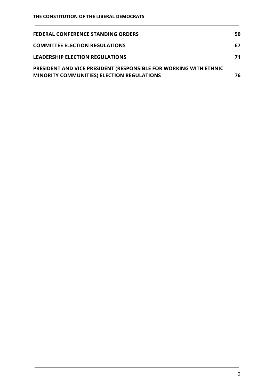| <b>FEDERAL CONFERENCE STANDING ORDERS</b>                                                                              | 50 |
|------------------------------------------------------------------------------------------------------------------------|----|
| <b>COMMITTEE ELECTION REGULATIONS</b>                                                                                  | 67 |
| <b>LEADERSHIP ELECTION REGULATIONS</b>                                                                                 | 71 |
| PRESIDENT AND VICE PRESIDENT (RESPONSIBLE FOR WORKING WITH ETHNIC<br><b>MINORITY COMMUNITIES) ELECTION REGULATIONS</b> | 76 |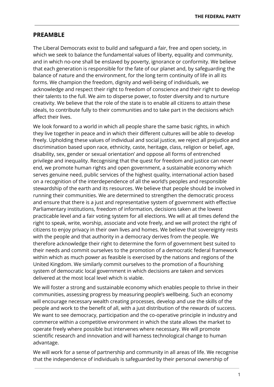#### <span id="page-4-0"></span>**PREAMBLE**

The Liberal Democrats exist to build and safeguard a fair, free and open society, in which we seek to balance the fundamental values of liberty, equality and community, and in which no-one shall be enslaved by poverty, ignorance or conformity. We believe that each generation is responsible for the fate of our planet and, by safeguarding the balance of nature and the environment, for the long term continuity of life in all its forms. We champion the freedom, dignity and well-being of individuals, we acknowledge and respect their right to freedom of conscience and their right to develop their talents to the full. We aim to disperse power, to foster diversity and to nurture creativity. We believe that the role of the state is to enable all citizens to attain these ideals, to contribute fully to their communities and to take part in the decisions which affect their lives.

We look forward to a world in which all people share the same basic rights, in which they live together in peace and in which their different cultures will be able to develop freely. Upholding these values of individual and social justice, we reject all prejudice and discrimination based upon race, ethnicity, caste, heritage, class, religion or belief, age, disability, sex, gender or sexual orientation' and oppose all forms of entrenched privilege and inequality. Recognising that the quest for freedom and justice can never end, we promote human rights and open government, a sustainable economy which serves genuine need, public services of the highest quality, international action based on a recognition of the interdependence of all the world's peoples and responsible stewardship of the earth and its resources. We believe that people should be involved in running their communities. We are determined to strengthen the democratic process and ensure that there is a just and representative system of government with effective Parliamentary institutions, freedom of information, decisions taken at the lowest practicable level and a fair voting system for all elections. We will at all times defend the right to speak, write, worship, associate and vote freely, and we will protect the right of citizens to enjoy privacy in their own lives and homes. We believe that sovereignty rests with the people and that authority in a democracy derives from the people. We therefore acknowledge their right to determine the form of government best suited to their needs and commit ourselves to the promotion of a democratic federal framework within which as much power as feasible is exercised by the nations and regions of the United Kingdom. We similarly commit ourselves to the promotion of a flourishing system of democratic local government in which decisions are taken and services delivered at the most local level which is viable.

We will foster a strong and sustainable economy which enables people to thrive in their communities, assessing progress by measuring people's wellbeing. Such an economy will encourage necessary wealth creating processes, develop and use the skills of the people and work to the benefit of all, with a just distribution of the rewards of success. We want to see democracy, participation and the co-operative principle in industry and commerce within a competitive environment in which the state allows the market to operate freely where possible but intervenes where necessary. We will promote scientific research and innovation and will harness technological change to human advantage.

We will work for a sense of partnership and community in all areas of life. We recognise that the independence of individuals is safeguarded by their personal ownership of

1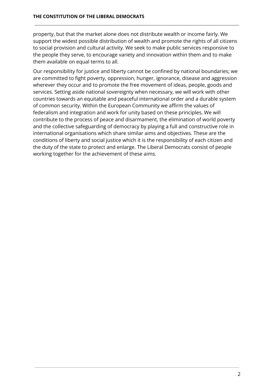property, but that the market alone does not distribute wealth or income fairly. We support the widest possible distribution of wealth and promote the rights of all citizens to social provision and cultural activity. We seek to make public services responsive to the people they serve, to encourage variety and innovation within them and to make them available on equal terms to all.

Our responsibility for justice and liberty cannot be confined by national boundaries; we are committed to fight poverty, oppression, hunger, ignorance, disease and aggression wherever they occur and to promote the free movement of ideas, people, goods and services. Setting aside national sovereignty when necessary, we will work with other countries towards an equitable and peaceful international order and a durable system of common security. Within the European Community we affirm the values of federalism and integration and work for unity based on these principles. We will contribute to the process of peace and disarmament, the elimination of world poverty and the collective safeguarding of democracy by playing a full and constructive role in international organisations which share similar aims and objectives. These are the conditions of liberty and social justice which it is the responsibility of each citizen and the duty of the state to protect and enlarge. The Liberal Democrats consist of people working together for the achievement of these aims.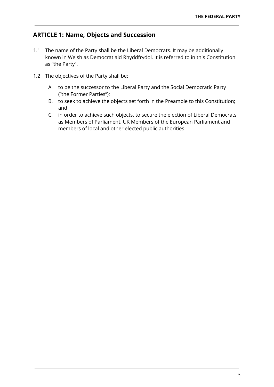#### <span id="page-6-0"></span>**ARTICLE 1: Name, Objects and Succession**

- 1.1 The name of the Party shall be the Liberal Democrats. It may be additionally known in Welsh as Democratiaid Rhyddfrydol. It is referred to in this Constitution as "the Party".
- 1.2 The objectives of the Party shall be:
	- A. to be the successor to the Liberal Party and the Social Democratic Party ("the Former Parties");
	- B. to seek to achieve the objects set forth in the Preamble to this Constitution; and
	- C. in order to achieve such objects, to secure the election of Liberal Democrats as Members of Parliament, UK Members of the European Parliament and members of local and other elected public authorities.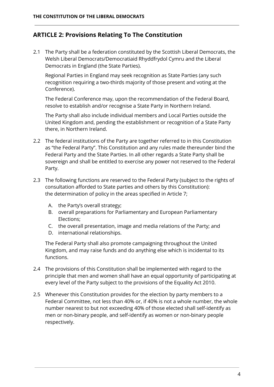# <span id="page-7-0"></span>**ARTICLE 2: Provisions Relating To The Constitution**

2.1 The Party shall be a federation constituted by the Scottish Liberal Democrats, the Welsh Liberal Democrats/Democratiaid Rhyddfrydol Cymru and the Liberal Democrats in England (the State Parties).

Regional Parties in England may seek recognition as State Parties (any such recognition requiring a two-thirds majority of those present and voting at the Conference).

The Federal Conference may, upon the recommendation of the Federal Board, resolve to establish and/or recognise a State Party in Northern Ireland.

The Party shall also include individual members and Local Parties outside the United Kingdom and, pending the establishment or recognition of a State Party there, in Northern Ireland.

- 2.2 The federal institutions of the Party are together referred to in this Constitution as "the Federal Party". This Constitution and any rules made thereunder bind the Federal Party and the State Parties. In all other regards a State Party shall be sovereign and shall be entitled to exercise any power not reserved to the Federal Party.
- 2.3 The following functions are reserved to the Federal Party (subject to the rights of consultation afforded to State parties and others by this Constitution): the determination of policy in the areas specified in Article 7;
	- A. the Party's overall strategy;
	- B. overall preparations for Parliamentary and European Parliamentary Elections;
	- C. the overall presentation, image and media relations of the Party; and
	- D. international relationships.

The Federal Party shall also promote campaigning throughout the United Kingdom, and may raise funds and do anything else which is incidental to its functions.

- 2.4 The provisions of this Constitution shall be implemented with regard to the principle that men and women shall have an equal opportunity of participating at every level of the Party subject to the provisions of the Equality Act 2010.
- 2.5 Whenever this Constitution provides for the election by party members to a Federal Committee, not less than 40% or, if 40% is not a whole number, the whole number nearest to but not exceeding 40% of those elected shall self-identify as men or non-binary people, and self-identify as women or non-binary people respectively.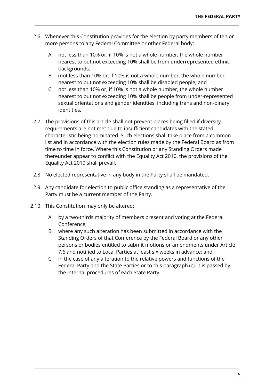- 2.6 Whenever this Constitution provides for the election by party members of ten or more persons to any Federal Committee or other Federal body:
	- A. not less than 10% or, if 10% is not a whole number, the whole number nearest to but not exceeding 10% shall be from underrepresented ethnic backgrounds;
	- B. (not less than 10% or, if 10% is not a whole number, the whole number nearest to but not exceeding 10% shall be disabled people; and
	- C. not less than 10% or, if 10% is not a whole number, the whole number nearest to but not exceeding 10% shall be people from under-represented sexual orientations and gender identities, including trans and non-binary identities.
- 2.7 The provisions of this article shall not prevent places being filled if diversity requirements are not met due to insufficient candidates with the stated characteristic being nominated. Such elections shall take place from a common list and in accordance with the election rules made by the Federal Board as from time to time in force. Where this Constitution or any Standing Orders made thereunder appear to conflict with the Equality Act 2010, the provisions of the Equality Act 2010 shall prevail.
- 2.8 No elected representative in any body in the Party shall be mandated.
- 2.9 Any candidate for election to public office standing as a representative of the Party must be a current member of the Party.
- 2.10 This Constitution may only be altered:
	- A. by a two-thirds majority of members present and voting at the Federal Conference;
	- B. where any such alteration has been submitted in accordance with the Standing Orders of that Conference by the Federal Board or any other persons or bodies entitled to submit motions or amendments under Article 7.6 and notified to Local Parties at least six weeks in advance; and
	- C. in the case of any alteration to the relative powers and functions of the Federal Party and the State Parties or to this paragraph (c), it is passed by the internal procedures of each State Party.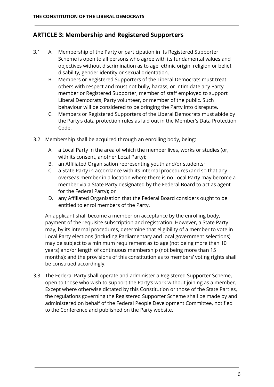# <span id="page-9-0"></span>**ARTICLE 3: Membership and Registered Supporters**

- 3.1 A. Membership of the Party or participation in its Registered Supporter Scheme is open to all persons who agree with its fundamental values and objectives without discrimination as to age, ethnic origin, religion or belief, disability, gender identity or sexual orientation.
	- B. Members or Registered Supporters of the Liberal Democrats must treat others with respect and must not bully, harass, or intimidate any Party member or Registered Supporter, member of staff employed to support Liberal Democrats, Party volunteer, or member of the public. Such behaviour will be considered to be bringing the Party into disrepute.
	- C. Members or Registered Supporters of the Liberal Democrats must abide by the Party's data protection rules as laid out in the Member's Data Protection Code.
- 3.2 Membership shall be acquired through an enrolling body, being:
	- A. a Local Party in the area of which the member lives, works or studies (or, with its consent, another Local Party);
	- B. an Affiliated Organisation representing youth and/or students;
	- C. a State Party in accordance with its internal procedures (and so that any overseas member in a location where there is no Local Party may become a member via a State Party designated by the Federal Board to act as agent for the Federal Party); or
	- D. any Affiliated Organisation that the Federal Board considers ought to be entitled to enrol members of the Party.

An applicant shall become a member on acceptance by the enrolling body, payment of the requisite subscription and registration. However, a State Party may, by its internal procedures, determine that eligibility of a member to vote in Local Party elections (including Parliamentary and local government selections) may be subject to a minimum requirement as to age (not being more than 10 years) and/or length of continuous membership (not being more than 15 months); and the provisions of this constitution as to members' voting rights shall be construed accordingly.

3.3 The Federal Party shall operate and administer a Registered Supporter Scheme, open to those who wish to support the Party's work without joining as a member. Except where otherwise dictated by this Constitution or those of the State Parties, the regulations governing the Registered Supporter Scheme shall be made by and administered on behalf of the Federal People Development Committee, notified to the Conference and published on the Party website.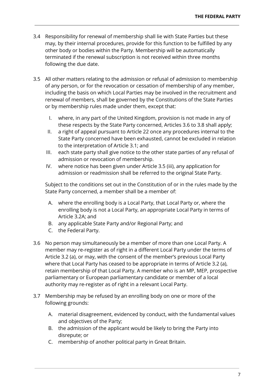- 3.4 Responsibility for renewal of membership shall lie with State Parties but these may, by their internal procedures, provide for this function to be fulfilled by any other body or bodies within the Party. Membership will be automatically terminated if the renewal subscription is not received within three months following the due date.
- 3.5 All other matters relating to the admission or refusal of admission to membership of any person, or for the revocation or cessation of membership of any member, including the basis on which Local Parties may be involved in the recruitment and renewal of members, shall be governed by the Constitutions of the State Parties or by membership rules made under them, except that:
	- I. where, in any part of the United Kingdom, provision is not made in any of these respects by the State Party concerned, Articles 3.6 to 3.8 shall apply;
	- II. a right of appeal pursuant to Article 22 once any procedures internal to the State Party concerned have been exhausted, cannot be excluded in relation to the interpretation of Article 3.1; and
	- III. each state party shall give notice to the other state parties of any refusal of admission or revocation of membership.
	- IV. where notice has been given under Article 3.5 (iii), any application for admission or readmission shall be referred to the original State Party.

Subject to the conditions set out in the Constitution of or in the rules made by the State Party concerned, a member shall be a member of:

- A. where the enrolling body is a Local Party, that Local Party or, where the enrolling body is not a Local Party, an appropriate Local Party in terms of Article 3.2A; and
- B. any applicable State Party and/or Regional Party; and
- C. the Federal Party.
- 3.6 No person may simultaneously be a member of more than one Local Party. A member may re-register as of right in a different Local Party under the terms of Article 3.2 (a), or may, with the consent of the member's previous Local Party where that Local Party has ceased to be appropriate in terms of Article 3.2 (a), retain membership of that Local Party. A member who is an MP, MEP, prospective parliamentary or European parliamentary candidate or member of a local authority may re-register as of right in a relevant Local Party.
- 3.7 Membership may be refused by an enrolling body on one or more of the following grounds:
	- A. material disagreement, evidenced by conduct, with the fundamental values and objectives of the Party;
	- B. the admission of the applicant would be likely to bring the Party into disrepute; or
	- C. membership of another political party in Great Britain.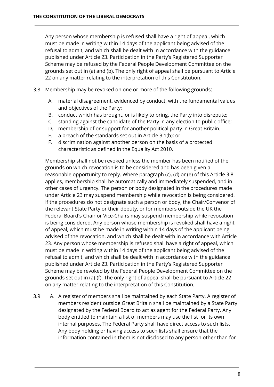Any person whose membership is refused shall have a right of appeal, which must be made in writing within 14 days of the applicant being advised of the refusal to admit, and which shall be dealt with in accordance with the guidance published under Article 23. Participation in the Party's Registered Supporter Scheme may be refused by the Federal People Development Committee on the grounds set out in (a) and (b). The only right of appeal shall be pursuant to Article 22 on any matter relating to the interpretation of this Constitution.

- 3.8 Membership may be revoked on one or more of the following grounds:
	- A. material disagreement, evidenced by conduct, with the fundamental values and objectives of the Party;
	- B. conduct which has brought, or is likely to bring, the Party into disrepute;
	- C. standing against the candidate of the Party in any election to public office;
	- D. membership of or support for another political party in Great Britain.
	- E. a breach of the standards set out in Article 3.1(b); or
	- F. discrimination against another person on the basis of a protected characteristic as defined in the Equality Act 2010.

Membership shall not be revoked unless the member has been notified of the grounds on which revocation is to be considered and has been given a reasonable opportunity to reply. Where paragraph (c), (d) or (e) of this Article 3.8 applies, membership shall be automatically and immediately suspended, and in other cases of urgency. The person or body designated in the procedures made under Article 23 may suspend membership while revocation is being considered. If the procedures do not designate such a person or body, the Chair/Convenor of the relevant State Party or their deputy, or for members outside the UK the Federal Board's Chair or Vice-Chairs may suspend membership while revocation is being considered. Any person whose membership is revoked shall have a right of appeal, which must be made in writing within 14 days of the applicant being advised of the revocation, and which shall be dealt with in accordance with Article 23. Any person whose membership is refused shall have a right of appeal, which must be made in writing within 14 days of the applicant being advised of the refusal to admit, and which shall be dealt with in accordance with the guidance published under Article 23. Participation in the Party's Registered Supporter Scheme may be revoked by the Federal People Development Committee on the grounds set out in (a)-(f). The only right of appeal shall be pursuant to Article 22 on any matter relating to the interpretation of this Constitution.

3.9 A. A register of members shall be maintained by each State Party. A register of members resident outside Great Britain shall be maintained by a State Party designated by the Federal Board to act as agent for the Federal Party. Any body entitled to maintain a list of members may use the list for its own internal purposes. The Federal Party shall have direct access to such lists. Any body holding or having access to such lists shall ensure that the information contained in them is not disclosed to any person other than for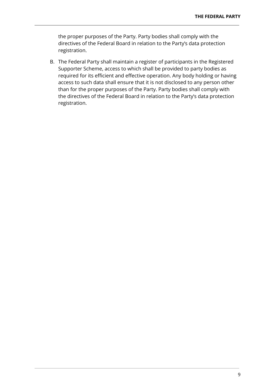the proper purposes of the Party. Party bodies shall comply with the directives of the Federal Board in relation to the Party's data protection registration.

B. The Federal Party shall maintain a register of participants in the Registered Supporter Scheme, access to which shall be provided to party bodies as required for its efficient and effective operation. Any body holding or having access to such data shall ensure that it is not disclosed to any person other than for the proper purposes of the Party. Party bodies shall comply with the directives of the Federal Board in relation to the Party's data protection registration.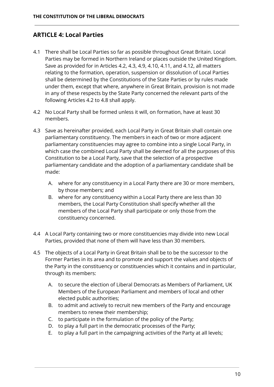# <span id="page-13-0"></span>**ARTICLE 4: Local Parties**

- 4.1 There shall be Local Parties so far as possible throughout Great Britain. Local Parties may be formed in Northern Ireland or places outside the United Kingdom. Save as provided for in Articles 4.2, 4.3, 4.9, 4.10, 4.11, and 4.12, all matters relating to the formation, operation, suspension or dissolution of Local Parties shall be determined by the Constitutions of the State Parties or by rules made under them, except that where, anywhere in Great Britain, provision is not made in any of these respects by the State Party concerned the relevant parts of the following Articles 4.2 to 4.8 shall apply.
- 4.2 No Local Party shall be formed unless it will, on formation, have at least 30 members.
- 4.3 Save as hereinafter provided, each Local Party in Great Britain shall contain one parliamentary constituency. The members in each of two or more adjacent parliamentary constituencies may agree to combine into a single Local Party, in which case the combined Local Party shall be deemed for all the purposes of this Constitution to be a Local Party, save that the selection of a prospective parliamentary candidate and the adoption of a parliamentary candidate shall be made:
	- A. where for any constituency in a Local Party there are 30 or more members, by those members; and
	- B. where for any constituency within a Local Party there are less than 30 members, the Local Party Constitution shall specify whether all the members of the Local Party shall participate or only those from the constituency concerned.
- 4.4 A Local Party containing two or more constituencies may divide into new Local Parties, provided that none of them will have less than 30 members.
- 4.5 The objects of a Local Party in Great Britain shall be to be the successor to the Former Parties in its area and to promote and support the values and objects of the Party in the constituency or constituencies which it contains and in particular, through its members:
	- A. to secure the election of Liberal Democrats as Members of Parliament, UK Members of the European Parliament and members of local and other elected public authorities;
	- B. to admit and actively to recruit new members of the Party and encourage members to renew their membership;
	- C. to participate in the formulation of the policy of the Party;
	- D. to play a full part in the democratic processes of the Party;
	- E. to play a full part in the campaigning activities of the Party at all levels;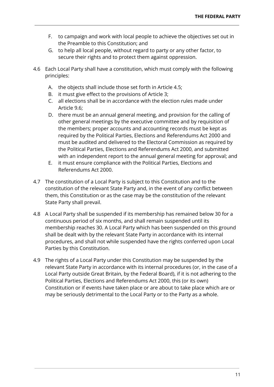- F. to campaign and work with local people to achieve the objectives set out in the Preamble to this Constitution; and
- G. to help all local people, without regard to party or any other factor, to secure their rights and to protect them against oppression.
- 4.6 Each Local Party shall have a constitution, which must comply with the following principles:
	- A. the objects shall include those set forth in Article 4.5;
	- B. it must give effect to the provisions of Article 3;
	- C. all elections shall be in accordance with the election rules made under Article 9.6;
	- D. there must be an annual general meeting, and provision for the calling of other general meetings by the executive committee and by requisition of the members; proper accounts and accounting records must be kept as required by the Political Parties, Elections and Referendums Act 2000 and must be audited and delivered to the Electoral Commission as required by the Political Parties, Elections and Referendums Act 2000, and submitted with an independent report to the annual general meeting for approval; and
	- E. it must ensure compliance with the Political Parties, Elections and Referendums Act 2000.
- 4.7 The constitution of a Local Party is subject to this Constitution and to the constitution of the relevant State Party and, in the event of any conflict between them, this Constitution or as the case may be the constitution of the relevant State Party shall prevail.
- 4.8 A Local Party shall be suspended if its membership has remained below 30 for a continuous period of six months, and shall remain suspended until its membership reaches 30. A Local Party which has been suspended on this ground shall be dealt with by the relevant State Party in accordance with its internal procedures, and shall not while suspended have the rights conferred upon Local Parties by this Constitution.
- 4.9 The rights of a Local Party under this Constitution may be suspended by the relevant State Party in accordance with its internal procedures (or, in the case of a Local Party outside Great Britain, by the Federal Board), if it is not adhering to the Political Parties, Elections and Referendums Act 2000, this (or its own) Constitution or if events have taken place or are about to take place which are or may be seriously detrimental to the Local Party or to the Party as a whole.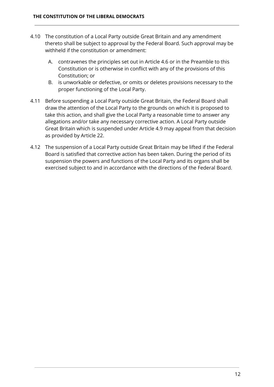- 4.10 The constitution of a Local Party outside Great Britain and any amendment thereto shall be subject to approval by the Federal Board. Such approval may be withheld if the constitution or amendment:
	- A. contravenes the principles set out in Article 4.6 or in the Preamble to this Constitution or is otherwise in conflict with any of the provisions of this Constitution; or
	- B. is unworkable or defective, or omits or deletes provisions necessary to the proper functioning of the Local Party.
- 4.11 Before suspending a Local Party outside Great Britain, the Federal Board shall draw the attention of the Local Party to the grounds on which it is proposed to take this action, and shall give the Local Party a reasonable time to answer any allegations and/or take any necessary corrective action. A Local Party outside Great Britain which is suspended under Article 4.9 may appeal from that decision as provided by Article 22.
- 4.12 The suspension of a Local Party outside Great Britain may be lifted if the Federal Board is satisfied that corrective action has been taken. During the period of its suspension the powers and functions of the Local Party and its organs shall be exercised subject to and in accordance with the directions of the Federal Board.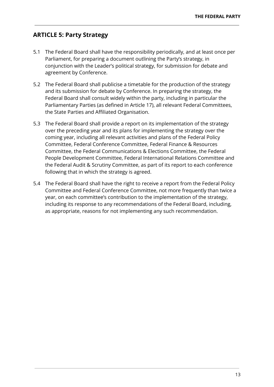## <span id="page-16-0"></span>**ARTICLE 5: Party Strategy**

- 5.1 The Federal Board shall have the responsibility periodically, and at least once per Parliament, for preparing a document outlining the Party's strategy, in conjunction with the Leader's political strategy, for submission for debate and agreement by Conference.
- 5.2 The Federal Board shall publicise a timetable for the production of the strategy and its submission for debate by Conference. In preparing the strategy, the Federal Board shall consult widely within the party, including in particular the Parliamentary Parties (as defined in Article 17), all relevant Federal Committees, the State Parties and Affiliated Organisation.
- 5.3 The Federal Board shall provide a report on its implementation of the strategy over the preceding year and its plans for implementing the strategy over the coming year, including all relevant activities and plans of the Federal Policy Committee, Federal Conference Committee, Federal Finance & Resources Committee, the Federal Communications & Elections Committee, the Federal People Development Committee, Federal International Relations Committee and the Federal Audit & Scrutiny Committee, as part of its report to each conference following that in which the strategy is agreed.
- 5.4 The Federal Board shall have the right to receive a report from the Federal Policy Committee and Federal Conference Committee, not more frequently than twice a year, on each committee's contribution to the implementation of the strategy, including its response to any recommendations of the Federal Board, including, as appropriate, reasons for not implementing any such recommendation.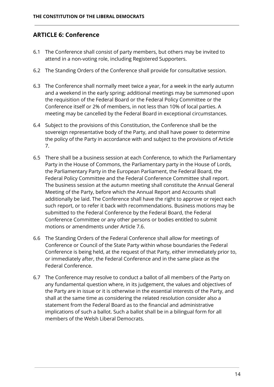# <span id="page-17-0"></span>**ARTICLE 6: Conference**

- 6.1 The Conference shall consist of party members, but others may be invited to attend in a non-voting role, including Registered Supporters.
- 6.2 The Standing Orders of the Conference shall provide for consultative session.
- 6.3 The Conference shall normally meet twice a year, for a week in the early autumn and a weekend in the early spring; additional meetings may be summoned upon the requisition of the Federal Board or the Federal Policy Committee or the Conference itself or 2% of members, in not less than 10% of local parties. A meeting may be cancelled by the Federal Board in exceptional circumstances.
- 6.4 Subject to the provisions of this Constitution, the Conference shall be the sovereign representative body of the Party, and shall have power to determine the policy of the Party in accordance with and subject to the provisions of Article 7.
- 6.5 There shall be a business session at each Conference, to which the Parliamentary Party in the House of Commons, the Parliamentary party in the House of Lords, the Parliamentary Party in the European Parliament, the Federal Board, the Federal Policy Committee and the Federal Conference Committee shall report. The business session at the autumn meeting shall constitute the Annual General Meeting of the Party, before which the Annual Report and Accounts shall additionally be laid. The Conference shall have the right to approve or reject each such report, or to refer it back with recommendations. Business motions may be submitted to the Federal Conference by the Federal Board, the Federal Conference Committee or any other persons or bodies entitled to submit motions or amendments under Article 7.6.
- 6.6 The Standing Orders of the Federal Conference shall allow for meetings of Conference or Council of the State Party within whose boundaries the Federal Conference is being held, at the request of that Party, either immediately prior to, or immediately after, the Federal Conference and in the same place as the Federal Conference.
- 6.7 The Conference may resolve to conduct a ballot of all members of the Party on any fundamental question where, in its judgement, the values and objectives of the Party are in issue or it is otherwise in the essential interests of the Party, and shall at the same time as considering the related resolution consider also a statement from the Federal Board as to the financial and administrative implications of such a ballot. Such a ballot shall be in a bilingual form for all members of the Welsh Liberal Democrats.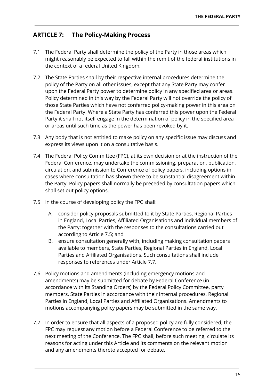#### <span id="page-18-0"></span>**ARTICLE 7: The Policy-Making Process**

- 7.1 The Federal Party shall determine the policy of the Party in those areas which might reasonably be expected to fall within the remit of the federal institutions in the context of a federal United Kingdom.
- 7.2 The State Parties shall by their respective internal procedures determine the policy of the Party on all other issues, except that any State Party may confer upon the Federal Party power to determine policy in any specified area or areas. Policy determined in this way by the Federal Party will not override the policy of those State Parties which have not conferred policy-making power in this area on the Federal Party. Where a State Party has conferred this power upon the Federal Party it shall not itself engage in the determination of policy in the specified area or areas until such time as the power has been revoked by it.
- 7.3 Any body that is not entitled to make policy on any specific issue may discuss and express its views upon it on a consultative basis.
- 7.4 The Federal Policy Committee (FPC), at its own decision or at the instruction of the Federal Conference, may undertake the commissioning, preparation, publication, circulation, and submission to Conference of policy papers, including options in cases where consultation has shown there to be substantial disagreement within the Party. Policy papers shall normally be preceded by consultation papers which shall set out policy options.
- 7.5 In the course of developing policy the FPC shall:
	- A. consider policy proposals submitted to it by State Parties, Regional Parties in England, Local Parties, Affiliated Organisations and individual members of the Party; together with the responses to the consultations carried out according to Article 7.5; and
	- B. ensure consultation generally with, including making consultation papers available to members, State Parties, Regional Parties in England, Local Parties and Affiliated Organisations. Such consultations shall include responses to references under Article 7.7.
- 7.6 Policy motions and amendments (including emergency motions and amendments) may be submitted for debate by Federal Conference (in accordance with its Standing Orders) by the Federal Policy Committee, party members, State Parties in accordance with their internal procedures, Regional Parties in England, Local Parties and Affiliated Organisations. Amendments to motions accompanying policy papers may be submitted in the same way.
- 7.7 In order to ensure that all aspects of a proposed policy are fully considered, the FPC may request any motion before a Federal Conference to be referred to the next meeting of the Conference. The FPC shall, before such meeting, circulate its reasons for acting under this Article and its comments on the relevant motion and any amendments thereto accepted for debate.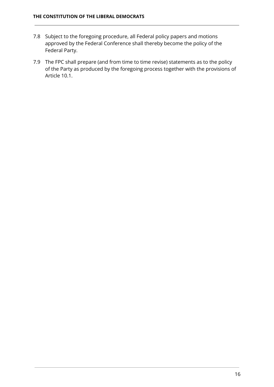- 7.8 Subject to the foregoing procedure, all Federal policy papers and motions approved by the Federal Conference shall thereby become the policy of the Federal Party.
- 7.9 The FPC shall prepare (and from time to time revise) statements as to the policy of the Party as produced by the foregoing process together with the provisions of Article 10.1.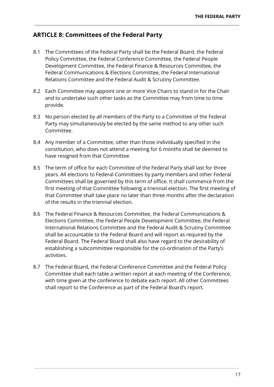#### <span id="page-20-0"></span>**ARTICLE 8: Committees of the Federal Party**

- 8.1 The Committees of the Federal Party shall be the Federal Board, the Federal Policy Committee, the Federal Conference Committee, the Federal People Development Committee, the Federal Finance & Resources Committee, the Federal Communications & Elections Committee, the Federal International Relations Committee and the Federal Audit & Scrutiny Committee.
- 8.2 Each Committee may appoint one or more Vice Chairs to stand in for the Chair and to undertake such other tasks as the Committee may from time to time provide.
- 8.3 No person elected by all members of the Party to a Committee of the Federal Party may simultaneously be elected by the same method to any other such Committee.
- 8.4 Any member of a Committee, other than those individually specified in the constitution, who does not attend a meeting for 6 months shall be deemed to have resigned from that Committee.
- 8.5 The term of office for each Committee of the Federal Party shall last for three years. All elections to Federal Committees by party members and other Federal Committees shall be governed by this term of office. It shall commence from the first meeting of that Committee following a triennial election. The first meeting of that Committee shall take place no later than three months after the declaration of the results in the triennial election.
- 8.6 The Federal Finance & Resources Committee, the Federal Communications & Elections Committee, the Federal People Development Committee, the Federal International Relations Committee and the Federal Audit & Scrutiny Committee shall be accountable to the Federal Board and will report as required by the Federal Board. The Federal Board shall also have regard to the desirability of establishing a subcommittee responsible for the co-ordination of the Party's activities.
- 8.7 The Federal Board, the Federal Conference Committee and the Federal Policy Committee shall each table a written report at each meeting of the Conference, with time given at the conference to debate each report. All other Committees shall report to the Conference as part of the Federal Board's report.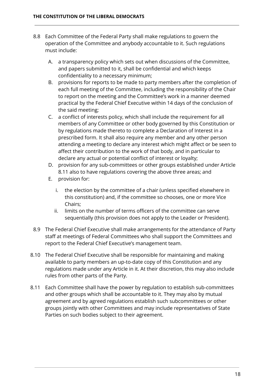- 8.8 Each Committee of the Federal Party shall make regulations to govern the operation of the Committee and anybody accountable to it. Such regulations must include:
	- A. a transparency policy which sets out when discussions of the Committee, and papers submitted to it, shall be confidential and which keeps confidentiality to a necessary minimum;
	- B. provisions for reports to be made to party members after the completion of each full meeting of the Committee, including the responsibility of the Chair to report on the meeting and the Committee's work in a manner deemed practical by the Federal Chief Executive within 14 days of the conclusion of the said meeting;
	- C. a conflict of interests policy, which shall include the requirement for all members of any Committee or other body governed by this Constitution or by regulations made thereto to complete a Declaration of Interest in a prescribed form. It shall also require any member and any other person attending a meeting to declare any interest which might affect or be seen to affect their contribution to the work of that body, and in particular to declare any actual or potential conflict of interest or loyalty;
	- D. provision for any sub-committees or other groups established under Article 8.11 also to have regulations covering the above three areas; and
	- E. provision for:
		- i. the election by the committee of a chair (unless specified elsewhere in this constitution) and, if the committee so chooses, one or more Vice Chairs;
		- ii. limits on the number of terms officers of the committee can serve sequentially (this provision does not apply to the Leader or President).
- 8.9 The Federal Chief Executive shall make arrangements for the attendance of Party staff at meetings of Federal Committees who shall support the Committees and report to the Federal Chief Executive's management team.
- 8.10 The Federal Chief Executive shall be responsible for maintaining and making available to party members an up-to-date copy of this Constitution and any regulations made under any Article in it. At their discretion, this may also include rules from other parts of the Party.
- 8.11 Each Committee shall have the power by regulation to establish sub-committees and other groups which shall be accountable to it. They may also by mutual agreement and by agreed regulations establish such subcommittees or other groups jointly with other Committees and may include representatives of State Parties on such bodies subject to their agreement.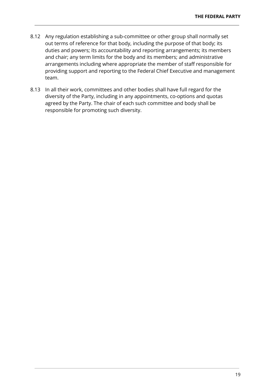- 8.12 Any regulation establishing a sub-committee or other group shall normally set out terms of reference for that body, including the purpose of that body; its duties and powers; its accountability and reporting arrangements; its members and chair; any term limits for the body and its members; and administrative arrangements including where appropriate the member of staff responsible for providing support and reporting to the Federal Chief Executive and management team.
- 8.13 In all their work, committees and other bodies shall have full regard for the diversity of the Party, including in any appointments, co-options and quotas agreed by the Party. The chair of each such committee and body shall be responsible for promoting such diversity.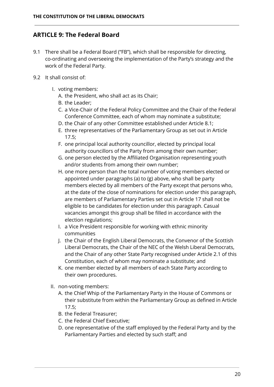# <span id="page-23-0"></span>**ARTICLE 9: The Federal Board**

- 9.1 There shall be a Federal Board ("FB"), which shall be responsible for directing, co-ordinating and overseeing the implementation of the Party's strategy and the work of the Federal Party.
- 9.2 It shall consist of:
	- I. voting members:
		- A. the President, who shall act as its Chair;
		- B. the Leader;
		- C. a Vice-Chair of the Federal Policy Committee and the Chair of the Federal Conference Committee, each of whom may nominate a substitute;
		- D. the Chair of any other Committee established under Article 8.1;
		- E. three representatives of the Parliamentary Group as set out in Article 17.5;
		- F. one principal local authority councillor, elected by principal local authority councillors of the Party from among their own number;
		- G. one person elected by the Affiliated Organisation representing youth and/or students from among their own number;
		- H. one more person than the total number of voting members elected or appointed under paragraphs (a) to (g) above, who shall be party members elected by all members of the Party except that persons who, at the date of the close of nominations for election under this paragraph, are members of Parliamentary Parties set out in Article 17 shall not be eligible to be candidates for election under this paragraph. Casual vacancies amongst this group shall be filled in accordance with the election regulations;
		- I. a Vice President responsible for working with ethnic minority communities
		- J. the Chair of the English Liberal Democrats, the Convenor of the Scottish Liberal Democrats, the Chair of the NEC of the Welsh Liberal Democrats, and the Chair of any other State Party recognised under Article 2.1 of this Constitution, each of whom may nominate a substitute; and
		- K. one member elected by all members of each State Party according to their own procedures.
	- II. non-voting members:
		- A. the Chief Whip of the Parliamentary Party in the House of Commons or their substitute from within the Parliamentary Group as defined in Article 17.5;
		- B. the Federal Treasurer;
		- C. the Federal Chief Executive;
		- D. one representative of the staff employed by the Federal Party and by the Parliamentary Parties and elected by such staff; and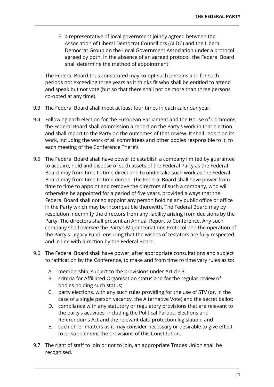E. a representative of local government jointly agreed between the Association of Liberal Democrat Councillors (ALDC) and the Liberal Democrat Group on the Local Government Association under a protocol agreed by both. In the absence of an agreed protocol, the Federal Board shall determine the method of appointment.

The Federal Board thus constituted may co-opt such persons and for such periods not exceeding three years as it thinks fit who shall be entitled to attend and speak but not vote (but so that there shall not be more than three persons co-opted at any time).

- 9.3 The Federal Board shall meet at least four times in each calendar year.
- 9.4 Following each election for the European Parliament and the House of Commons, the Federal Board shall commission a report on the Party's work in that election and shall report to the Party on the outcomes of that review. It shall report on its work, including the work of all committees and other bodies responsible to it, to each meeting of the Conference.There's
- 9.5 The Federal Board shall have power to establish a company limited by guarantee to acquire, hold and dispose of such assets of the Federal Party as the Federal Board may from time to time direct and to undertake such work as the Federal Board may from time to time decide. The Federal Board shall have power from time to time to appoint and remove the directors of such a company, who will otherwise be appointed for a period of five years, provided always that the Federal Board shall not so appoint any person holding any public office or office in the Party which may be incompatible therewith. The Federal Board may by resolution indemnify the directors from any liability arising from decisions by the Party. The directors shall present an Annual Report to Conference. Any such company shall oversee the Party's Major Donations Protocol and the operation of the Party's Legacy Fund, ensuring that the wishes of testators are fully respected and in line with direction by the Federal Board.
- 9.6 The Federal Board shall have power, after appropriate consultations and subject to ratification by the Conference, to make and from time to time vary rules as to:
	- A. membership, subject to the provisions under Article 3;
	- B. criteria for Affiliated Organisation status and for the regular review of bodies holding such status;
	- C. party elections, with any such rules providing for the use of STV (or, in the case of a single person vacancy, the Alternative Vote) and the secret ballot;
	- D. compliance with any statutory or regulatory provisions that are relevant to the party's activities, including the Political Parties, Elections and Referendums Act and the relevant data protection legislation; and
	- E. such other matters as it may consider necessary or desirable to give effect to or supplement the provisions of this Constitution.
- 9.7 The right of staff to join or not to join, an appropriate Trades Union shall be recognised.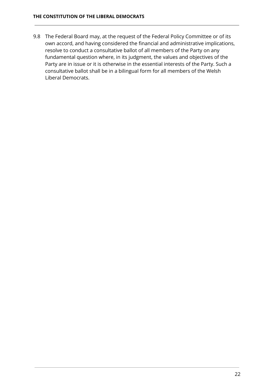9.8 The Federal Board may, at the request of the Federal Policy Committee or of its own accord, and having considered the financial and administrative implications, resolve to conduct a consultative ballot of all members of the Party on any fundamental question where, in its judgment, the values and objectives of the Party are in issue or it is otherwise in the essential interests of the Party. Such a consultative ballot shall be in a bilingual form for all members of the Welsh Liberal Democrats.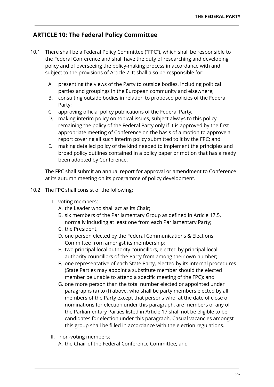#### <span id="page-26-0"></span>**ARTICLE 10: The Federal Policy Committee**

- 10.1 There shall be a Federal Policy Committee ("FPC"), which shall be responsible to the Federal Conference and shall have the duty of researching and developing policy and of overseeing the policy-making process in accordance with and subject to the provisions of Article 7. It shall also be responsible for:
	- A. presenting the views of the Party to outside bodies, including political parties and groupings in the European community and elsewhere;
	- B. consulting outside bodies in relation to proposed policies of the Federal Party;
	- C. approving official policy publications of the Federal Party;
	- D. making interim policy on topical issues, subject always to this policy remaining the policy of the Federal Party only if it is approved by the first appropriate meeting of Conference on the basis of a motion to approve a report covering all such interim policy submitted to it by the FPC; and
	- E. making detailed policy of the kind needed to implement the principles and broad policy outlines contained in a policy paper or motion that has already been adopted by Conference.

The FPC shall submit an annual report for approval or amendment to Conference at its autumn meeting on its programme of policy development.

- 10.2 The FPC shall consist of the following:
	- I. voting members:
		- A. the Leader who shall act as its Chair;
		- B. six members of the Parliamentary Group as defined in Article 17.5, normally including at least one from each Parliamentary Party;
		- C. the President;
		- D. one person elected by the Federal Communications & Elections Committee from amongst its membership;
		- E. two principal local authority councillors, elected by principal local authority councillors of the Party from among their own number;
		- F. one representative of each State Party, elected by its internal procedures (State Parties may appoint a substitute member should the elected member be unable to attend a specific meeting of the FPC); and
		- G. one more person than the total number elected or appointed under paragraphs (a) to (f) above, who shall be party members elected by all members of the Party except that persons who, at the date of close of nominations for election under this paragraph, are members of any of the Parliamentary Parties listed in Article 17 shall not be eligible to be candidates for election under this paragraph. Casual vacancies amongst this group shall be filled in accordance with the election regulations.
	- II. non-voting members:
		- A. the Chair of the Federal Conference Committee; and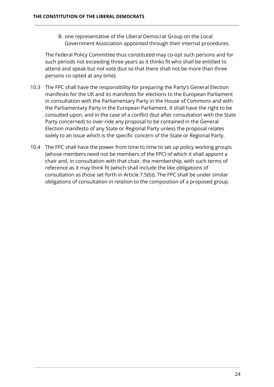B. one representative of the Liberal Democrat Group on the Local Government Association appointed through their internal procedures.

The Federal Policy Committee thus constituted may co-opt such persons and for such periods not exceeding three years as it thinks fit who shall be entitled to attend and speak but not vote (but so that there shall not be more than three persons co-opted at any time).

- 10.3 The FPC shall have the responsibility for preparing the Party's General Election manifesto for the UK and its manifesto for elections to the European Parliament in consultation with the Parliamentary Party in the House of Commons and with the Parliamentary Party in the European Parliament. It shall have the right to be consulted upon, and in the case of a conflict (but after consultation with the State Party concerned) to over-ride any proposal to be contained in the General Election manifesto of any State or Regional Party unless the proposal relates solely to an issue which is the specific concern of the State or Regional Party.
- 10.4 The FPC shall have the power from time to time to set up policy working groups (whose members need not be members of the FPC) of which it shall appoint a chair and, in consultation with that chair, the membership, with such terms of reference as it may think fit (which shall include the like obligations of consultation as those set forth in Article 7.5(b)). The FPC shall be under similar obligations of consultation in relation to the composition of a proposed group.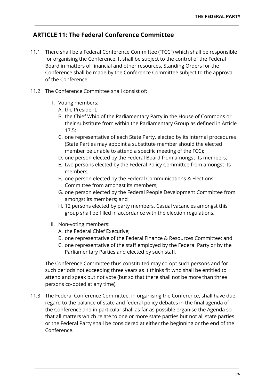#### <span id="page-28-0"></span>**ARTICLE 11: The Federal Conference Committee**

- 11.1 There shall be a Federal Conference Committee ("FCC") which shall be responsible for organising the Conference. It shall be subject to the control of the Federal Board in matters of financial and other resources. Standing Orders for the Conference shall be made by the Conference Committee subject to the approval of the Conference.
- 11.2 The Conference Committee shall consist of:
	- I. Voting members:
		- A. the President;
		- B. the Chief Whip of the Parliamentary Party in the House of Commons or their substitute from within the Parliamentary Group as defined in Article 17.5;
		- C. one representative of each State Party, elected by its internal procedures (State Parties may appoint a substitute member should the elected member be unable to attend a specific meeting of the FCC);
		- D. one person elected by the Federal Board from amongst its members;
		- E. two persons elected by the Federal Policy Committee from amongst its members;
		- F. one person elected by the Federal Communications & Elections Committee from amongst its members;
		- G. one person elected by the Federal People Development Committee from amongst its members; and
		- H. 12 persons elected by party members. Casual vacancies amongst this group shall be filled in accordance with the election regulations.
	- II. Non-voting members:
		- A. the Federal Chief Executive;
		- B. one representative of the Federal Finance & Resources Committee; and
		- C. one representative of the staff employed by the Federal Party or by the Parliamentary Parties and elected by such staff.

The Conference Committee thus constituted may co-opt such persons and for such periods not exceeding three years as it thinks fit who shall be entitled to attend and speak but not vote (but so that there shall not be more than three persons co-opted at any time).

11.3 The Federal Conference Committee, in organising the Conference, shall have due regard to the balance of state and federal policy debates in the final agenda of the Conference and in particular shall as far as possible organise the Agenda so that all matters which relate to one or more state parties but not all state parties or the Federal Party shall be considered at either the beginning or the end of the Conference.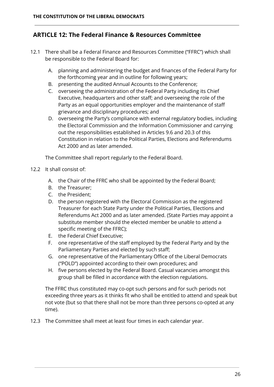# <span id="page-29-0"></span>**ARTICLE 12: The Federal Finance & Resources Committee**

- 12.1 There shall be a Federal Finance and Resources Committee ("FFRC") which shall be responsible to the Federal Board for:
	- A. planning and administering the budget and finances of the Federal Party for the forthcoming year and in outline for following years;
	- B. presenting the audited Annual Accounts to the Conference;
	- C. overseeing the administration of the Federal Party including its Chief Executive, headquarters and other staff; and overseeing the role of the Party as an equal opportunities employer and the maintenance of staff grievance and disciplinary procedures; and
	- D. overseeing the Party's compliance with external regulatory bodies, including the Electoral Commission and the Information Commissioner and carrying out the responsibilities established in Articles 9.6 and 20.3 of this Constitution in relation to the Political Parties, Elections and Referendums Act 2000 and as later amended.

The Committee shall report regularly to the Federal Board.

- 12.2 It shall consist of:
	- A. the Chair of the FFRC who shall be appointed by the Federal Board;
	- B. the Treasurer;
	- C. the President;
	- D. the person registered with the Electoral Commission as the registered Treasurer for each State Party under the Political Parties, Elections and Referendums Act 2000 and as later amended. (State Parties may appoint a substitute member should the elected member be unable to attend a specific meeting of the FFRC);
	- E. the Federal Chief Executive;
	- F. one representative of the staff employed by the Federal Party and by the Parliamentary Parties and elected by such staff;
	- G. one representative of the Parliamentary Office of the Liberal Democrats ("POLD") appointed according to their own procedures; and
	- H. five persons elected by the Federal Board. Casual vacancies amongst this group shall be filled in accordance with the election regulations.

The FFRC thus constituted may co-opt such persons and for such periods not exceeding three years as it thinks fit who shall be entitled to attend and speak but not vote (but so that there shall not be more than three persons co-opted at any time).

12.3 The Committee shall meet at least four times in each calendar year.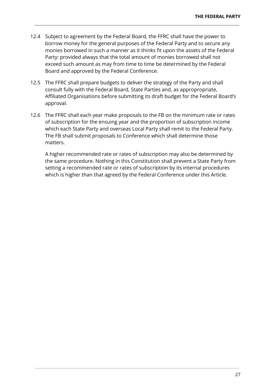- 12.4 Subject to agreement by the Federal Board, the FFRC shall have the power to borrow money for the general purposes of the Federal Party and to secure any monies borrowed in such a manner as it thinks fit upon the assets of the Federal Party: provided always that the total amount of monies borrowed shall not exceed such amount as may from time to time be determined by the Federal Board and approved by the Federal Conference.
- 12.5 The FFRC shall prepare budgets to deliver the strategy of the Party and shall consult fully with the Federal Board, State Parties and, as appropropriate, Affiliated Organisations before submitting its draft budget for the Federal Board's approval.
- 12.6 The FFRC shall each year make proposals to the FB on the minimum rate or rates of subscription for the ensuing year and the proportion of subscription income which each State Party and overseas Local Party shall remit to the Federal Party. The FB shall submit proposals to Conference which shall determine those matters.

A higher recommended rate or rates of subscription may also be determined by the same procedure. Nothing in this Constitution shall prevent a State Party from setting a recommended rate or rates of subscription by its internal procedures which is higher than that agreed by the Federal Conference under this Article.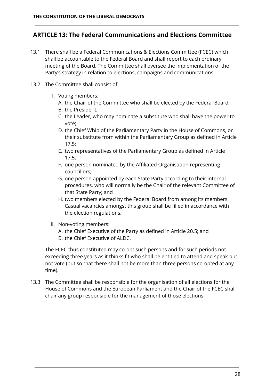# <span id="page-31-0"></span>**ARTICLE 13: The Federal Communications and Elections Committee**

- 13.1 There shall be a Federal Communications & Elections Committee (FCEC) which shall be accountable to the Federal Board and shall report to each ordinary meeting of the Board. The Committee shall oversee the implementation of the Party's strategy in relation to elections, campaigns and communications.
- 13.2 The Committee shall consist of
	- I. Voting members:
		- A. the Chair of the Committee who shall be elected by the Federal Board;
		- B. the President;
		- C. the Leader, who may nominate a substitute who shall have the power to vote;
		- D. the Chief Whip of the Parliamentary Party in the House of Commons, or their substitute from within the Parliamentary Group as defined in Article 17.5;
		- E. two representatives of the Parliamentary Group as defined in Article 17.5;
		- F. one person nominated by the Affiliated Organisation representing councillors;
		- G. one person appointed by each State Party according to their internal procedures, who will normally be the Chair of the relevant Committee of that State Party; and
		- H. two members elected by the Federal Board from among its members. Casual vacancies amongst this group shall be filled in accordance with the election regulations.
	- II. Non-voting members:
		- A. the Chief Executive of the Party as defined in Article 20.5; and
		- B. the Chief Executive of ALDC.

The FCEC thus constituted may co-opt such persons and for such periods not exceeding three years as it thinks fit who shall be entitled to attend and speak but not vote (but so that there shall not be more than three persons co-opted at any time).

13.3 The Committee shall be responsible for the organisation of all elections for the House of Commons and the European Parliament and the Chair of the FCEC shall chair any group responsible for the management of those elections.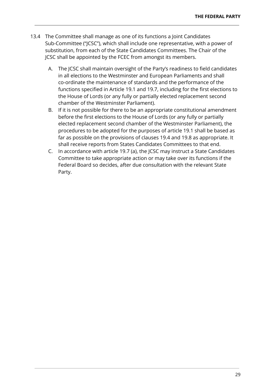- 13.4 The Committee shall manage as one of its functions a Joint Candidates Sub-Committee ("JCSC"), which shall include one representative, with a power of substitution, from each of the State Candidates Committees. The Chair of the JCSC shall be appointed by the FCEC from amongst its members.
	- A. The JCSC shall maintain oversight of the Party's readiness to field candidates in all elections to the Westminster and European Parliaments and shall co-ordinate the maintenance of standards and the performance of the functions specified in Article 19.1 and 19.7, including for the first elections to the House of Lords (or any fully or partially elected replacement second chamber of the Westminster Parliament).
	- B. If it is not possible for there to be an appropriate constitutional amendment before the first elections to the House of Lords (or any fully or partially elected replacement second chamber of the Westminster Parliament), the procedures to be adopted for the purposes of article 19.1 shall be based as far as possible on the provisions of clauses 19.4 and 19.8 as appropriate. It shall receive reports from States Candidates Committees to that end.
	- C. In accordance with article 19.7 (a), the JCSC may instruct a State Candidates Committee to take appropriate action or may take over its functions if the Federal Board so decides, after due consultation with the relevant State Party.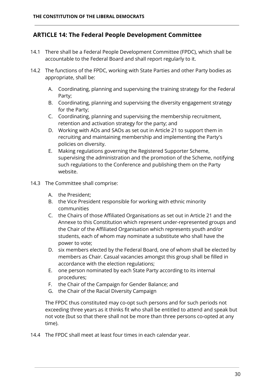# <span id="page-33-0"></span>**ARTICLE 14: The Federal People Development Committee**

- 14.1 There shall be a Federal People Development Committee (FPDC), which shall be accountable to the Federal Board and shall report regularly to it.
- 14.2 The functions of the FPDC, working with State Parties and other Party bodies as appropriate, shall be:
	- A. Coordinating, planning and supervising the training strategy for the Federal Party;
	- B. Coordinating, planning and supervising the diversity engagement strategy for the Party;
	- C. Coordinating, planning and supervising the membership recruitment, retention and activation strategy for the party; and
	- D. Working with AOs and SAOs as set out in Article 21 to support them in recruiting and maintaining membership and implementing the Party's policies on diversity.
	- E. Making regulations governing the Registered Supporter Scheme, supervising the administration and the promotion of the Scheme, notifying such regulations to the Conference and publishing them on the Party website.
- 14.3 The Committee shall comprise:
	- A. the President;
	- B. the Vice President responsible for working with ethnic minority communities
	- C. the Chairs of those Affiliated Organisations as set out in Article 21 and the Annexe to this Constitution which represent under-represented groups and the Chair of the Affiliated Organisation which represents youth and/or students, each of whom may nominate a substitute who shall have the power to vote;
	- D. six members elected by the Federal Board, one of whom shall be elected by members as Chair. Casual vacancies amongst this group shall be filled in accordance with the election regulations;
	- E. one person nominated by each State Party according to its internal procedures;
	- F. the Chair of the Campaign for Gender Balance; and
	- G. the Chair of the Racial Diversity Campaign

The FPDC thus constituted may co-opt such persons and for such periods not exceeding three years as it thinks fit who shall be entitled to attend and speak but not vote (but so that there shall not be more than three persons co-opted at any time).

14.4 The FPDC shall meet at least four times in each calendar year.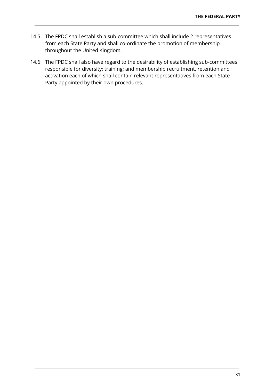- 14.5 The FPDC shall establish a sub-committee which shall include 2 representatives from each State Party and shall co-ordinate the promotion of membership throughout the United Kingdom.
- 14.6 The FPDC shall also have regard to the desirability of establishing sub-committees responsible for diversity; training; and membership recruitment, retention and activation each of which shall contain relevant representatives from each State Party appointed by their own procedures.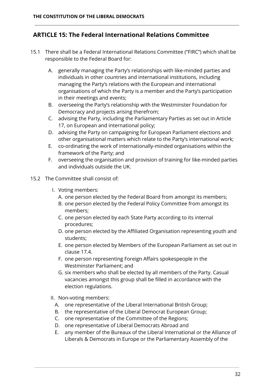# <span id="page-35-0"></span>**ARTICLE 15: The Federal International Relations Committee**

- 15.1 There shall be a Federal International Relations Committee ("FIRC") which shall be responsible to the Federal Board for:
	- A. generally managing the Party's relationships with like-minded parties and individuals in other countries and international institutions, including managing the Party's relations with the European and international organisations of which the Party is a member and the Party's participation in their meetings and events;
	- B. overseeing the Party's relationship with the Westminster Foundation for Democracy and projects arising therefrom;
	- C. advising the Party, including the Parliamentary Parties as set out in Article 17, on European and international policy;
	- D. advising the Party on campaigning for European Parliament elections and other organisational matters which relate to the Party's international work;
	- E. co-ordinating the work of internationally-minded organisations within the framework of the Party; and
	- F. overseeing the organisation and provision of training for like-minded parties and individuals outside the UK.

#### 15.2 The Committee shall consist of:

- I. Voting members:
	- A. one person elected by the Federal Board from amongst its members;
	- B. one person elected by the Federal Policy Committee from amongst its members;
	- C. one person elected by each State Party according to its internal procedures;
	- D. one person elected by the Affiliated Organisation representing youth and students;
	- E. one person elected by Members of the European Parliament as set out in clause 17.4.
	- F. one person representing Foreign Affairs spokespeople in the Westminster Parliament; and
	- G. six members who shall be elected by all members of the Party. Casual vacancies amongst this group shall be filled in accordance with the election regulations.
- II. Non-voting members:
	- A. one representative of the Liberal International British Group;
	- B. the representative of the Liberal Democrat European Group;
	- C. one representative of the Committee of the Regions;
	- D. one representative of Liberal Democrats Abroad and
	- E. any member of the Bureaux of the Liberal International or the Alliance of Liberals & Democrats in Europe or the Parliamentary Assembly of the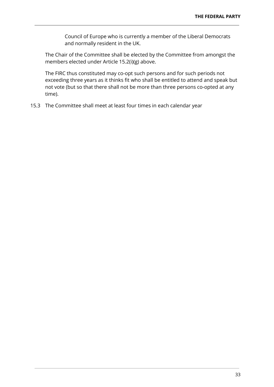Council of Europe who is currently a member of the Liberal Democrats and normally resident in the UK.

The Chair of the Committee shall be elected by the Committee from amongst the members elected under Article 15.2(i)(g) above.

The FIRC thus constituted may co-opt such persons and for such periods not exceeding three years as it thinks fit who shall be entitled to attend and speak but not vote (but so that there shall not be more than three persons co-opted at any time).

15.3 The Committee shall meet at least four times in each calendar year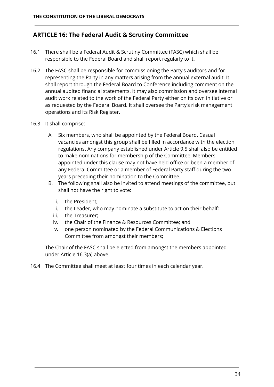## **ARTICLE 16: The Federal Audit & Scrutiny Committee**

- 16.1 There shall be a Federal Audit & Scrutiny Committee (FASC) which shall be responsible to the Federal Board and shall report regularly to it.
- 16.2 The FASC shall be responsible for commissioning the Party's auditors and for representing the Party in any matters arising from the annual external audit. It shall report through the Federal Board to Conference including comment on the annual audited financial statements. It may also commission and oversee internal audit work related to the work of the Federal Party either on its own initiative or as requested by the Federal Board. It shall oversee the Party's risk management operations and its Risk Register.
- 16.3 It shall comprise:
	- A. Six members, who shall be appointed by the Federal Board. Casual vacancies amongst this group shall be filled in accordance with the election regulations. Any company established under Article 9.5 shall also be entitled to make nominations for membership of the Committee. Members appointed under this clause may not have held office or been a member of any Federal Committee or a member of Federal Party staff during the two years preceding their nomination to the Committee.
	- B. The following shall also be invited to attend meetings of the committee, but shall not have the right to vote:
		- i. the President;
		- ii. the Leader, who may nominate a substitute to act on their behalf;
		- iii. the Treasurer;
		- iv. the Chair of the Finance & Resources Committee; and
		- v. one person nominated by the Federal Communications & Elections Committee from amongst their members;

The Chair of the FASC shall be elected from amongst the members appointed under Article 16.3(a) above.

16.4 The Committee shall meet at least four times in each calendar year.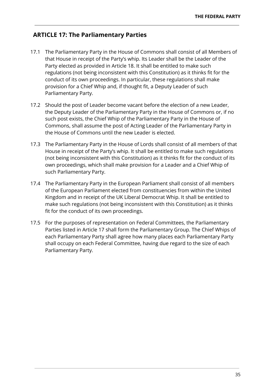## **ARTICLE 17: The Parliamentary Parties**

- 17.1 The Parliamentary Party in the House of Commons shall consist of all Members of that House in receipt of the Party's whip. Its Leader shall be the Leader of the Party elected as provided in Article 18. It shall be entitled to make such regulations (not being inconsistent with this Constitution) as it thinks fit for the conduct of its own proceedings. In particular, these regulations shall make provision for a Chief Whip and, if thought fit, a Deputy Leader of such Parliamentary Party.
- 17.2 Should the post of Leader become vacant before the election of a new Leader, the Deputy Leader of the Parliamentary Party in the House of Commons or, if no such post exists, the Chief Whip of the Parliamentary Party in the House of Commons, shall assume the post of Acting Leader of the Parliamentary Party in the House of Commons until the new Leader is elected.
- 17.3 The Parliamentary Party in the House of Lords shall consist of all members of that House in receipt of the Party's whip. It shall be entitled to make such regulations (not being inconsistent with this Constitution) as it thinks fit for the conduct of its own proceedings, which shall make provision for a Leader and a Chief Whip of such Parliamentary Party.
- 17.4 The Parliamentary Party in the European Parliament shall consist of all members of the European Parliament elected from constituencies from within the United Kingdom and in receipt of the UK Liberal Democrat Whip. It shall be entitled to make such regulations (not being inconsistent with this Constitution) as it thinks fit for the conduct of its own proceedings.
- 17.5 For the purposes of representation on Federal Committees, the Parliamentary Parties listed in Article 17 shall form the Parliamentary Group. The Chief Whips of each Parliamentary Party shall agree how many places each Parliamentary Party shall occupy on each Federal Committee, having due regard to the size of each Parliamentary Party.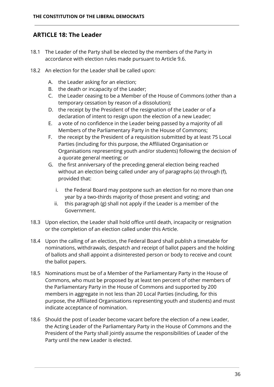## **ARTICLE 18: The Leader**

- 18.1 The Leader of the Party shall be elected by the members of the Party in accordance with election rules made pursuant to Article 9.6.
- 18.2 An election for the Leader shall be called upon:
	- A. the Leader asking for an election;
	- B. the death or incapacity of the Leader;
	- C. the Leader ceasing to be a Member of the House of Commons (other than a temporary cessation by reason of a dissolution);
	- D. the receipt by the President of the resignation of the Leader or of a declaration of intent to resign upon the election of a new Leader;
	- E. a vote of no confidence in the Leader being passed by a majority of all Members of the Parliamentary Party in the House of Commons;
	- F. the receipt by the President of a requisition submitted by at least 75 Local Parties (including for this purpose, the Affiliated Organisation or Organisations representing youth and/or students) following the decision of a quorate general meeting; or
	- G. the first anniversary of the preceding general election being reached without an election being called under any of paragraphs (a) through (f), provided that:
		- i. the Federal Board may postpone such an election for no more than one year by a two-thirds majority of those present and voting; and
		- ii. this paragraph (g) shall not apply if the Leader is a member of the Government.
- 18.3 Upon election, the Leader shall hold office until death, incapacity or resignation or the completion of an election called under this Article.
- 18.4 Upon the calling of an election, the Federal Board shall publish a timetable for nominations, withdrawals, despatch and receipt of ballot papers and the holding of ballots and shall appoint a disinterested person or body to receive and count the ballot papers.
- 18.5 Nominations must be of a Member of the Parliamentary Party in the House of Commons, who must be proposed by at least ten percent of other members of the Parliamentary Party in the House of Commons and supported by 200 members in aggregate in not less than 20 Local Parties (including, for this purpose, the Affiliated Organisations representing youth and students) and must indicate acceptance of nomination.
- 18.6 Should the post of Leader become vacant before the election of a new Leader, the Acting Leader of the Parliamentary Party in the House of Commons and the President of the Party shall jointly assume the responsibilities of Leader of the Party until the new Leader is elected.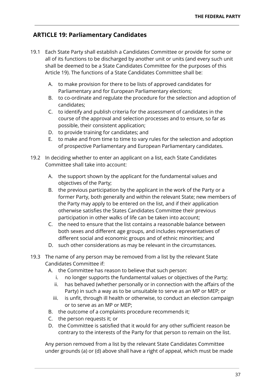# **ARTICLE 19: Parliamentary Candidates**

- 19.1 Each State Party shall establish a Candidates Committee or provide for some or all of its functions to be discharged by another unit or units (and every such unit shall be deemed to be a State Candidates Committee for the purposes of this Article 19). The functions of a State Candidates Committee shall be:
	- A. to make provision for there to be lists of approved candidates for Parliamentary and for European Parliamentary elections;
	- B. to co-ordinate and regulate the procedure for the selection and adoption of candidates;
	- C. to identify and publish criteria for the assessment of candidates in the course of the approval and selection processes and to ensure, so far as possible, their consistent application;
	- D. to provide training for candidates; and
	- E. to make and from time to time to vary rules for the selection and adoption of prospective Parliamentary and European Parliamentary candidates.
- 19.2 In deciding whether to enter an applicant on a list, each State Candidates Committee shall take into account:
	- A. the support shown by the applicant for the fundamental values and objectives of the Party;
	- B. the previous participation by the applicant in the work of the Party or a former Party, both generally and within the relevant State; new members of the Party may apply to be entered on the list, and if their application otherwise satisfies the States Candidates Committee their previous participation in other walks of life can be taken into account;
	- C. the need to ensure that the list contains a reasonable balance between both sexes and different age groups, and includes representatives of different social and economic groups and of ethnic minorities; and
	- D. such other considerations as may be relevant in the circumstances.
- 19.3 The name of any person may be removed from a list by the relevant State Candidates Committee if:
	- A. the Committee has reason to believe that such person:
		- i. no longer supports the fundamental values or objectives of the Party;
		- ii. has behaved (whether personally or in connection with the affairs of the Party) in such a way as to be unsuitable to serve as an MP or MEP; or
		- iii. is unfit, through ill health or otherwise, to conduct an election campaign or to serve as an MP or MEP;
	- B. the outcome of a complaints procedure recommends it;
	- C. the person requests it; or
	- D. the Committee is satisfied that it would for any other sufficient reason be contrary to the interests of the Party for that person to remain on the list.

Any person removed from a list by the relevant State Candidates Committee under grounds (a) or (d) above shall have a right of appeal, which must be made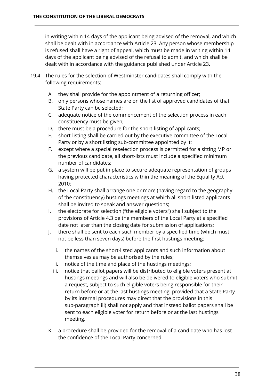in writing within 14 days of the applicant being advised of the removal, and which shall be dealt with in accordance with Article 23. Any person whose membership is refused shall have a right of appeal, which must be made in writing within 14 days of the applicant being advised of the refusal to admit, and which shall be dealt with in accordance with the guidance published under Article 23.

- 19.4 The rules for the selection of Westminster candidates shall comply with the following requirements:
	- A. they shall provide for the appointment of a returning officer;
	- B. only persons whose names are on the list of approved candidates of that State Party can be selected;
	- C. adequate notice of the commencement of the selection process in each constituency must be given;
	- D. there must be a procedure for the short-listing of applicants;
	- E. short-listing shall be carried out by the executive committee of the Local Party or by a short listing sub-committee appointed by it;
	- F. except where a special reselection process is permitted for a sitting MP or the previous candidate, all short-lists must include a specified minimum number of candidates;
	- G. a system will be put in place to secure adequate representation of groups having protected characteristics within the meaning of the Equality Act 2010;
	- H. the Local Party shall arrange one or more (having regard to the geography of the constituency) hustings meetings at which all short-listed applicants shall be invited to speak and answer questions;
	- I. the electorate for selection ("the eligible voters") shall subject to the provisions of Article 4.3 be the members of the Local Party at a specified date not later than the closing date for submission of applications;
	- J. there shall be sent to each such member by a specified time (which must not be less than seven days) before the first hustings meeting:
		- i. the names of the short-listed applicants and such information about themselves as may be authorised by the rules;
		- ii. notice of the time and place of the hustings meetings;
		- iii. notice that ballot papers will be distributed to eligible voters present at hustings meetings and will also be delivered to eligible voters who submit a request, subject to such eligible voters being responsible for their return before or at the last hustings meeting, provided that a State Party by its internal procedures may direct that the provisions in this sub-paragraph iii) shall not apply and that instead ballot papers shall be sent to each eligible voter for return before or at the last hustings meeting.
	- K. a procedure shall be provided for the removal of a candidate who has lost the confidence of the Local Party concerned.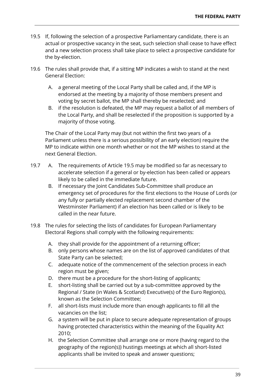- 19.5 If, following the selection of a prospective Parliamentary candidate, there is an actual or prospective vacancy in the seat, such selection shall cease to have effect and a new selection process shall take place to select a prospective candidate for the by-election.
- 19.6 The rules shall provide that, if a sitting MP indicates a wish to stand at the next General Election:
	- A. a general meeting of the Local Party shall be called and, if the MP is endorsed at the meeting by a majority of those members present and voting by secret ballot, the MP shall thereby be reselected; and
	- B. if the resolution is defeated, the MP may request a ballot of all members of the Local Party, and shall be reselected if the proposition is supported by a majority of those voting.

The Chair of the Local Party may (but not within the first two years of a Parliament unless there is a serious possibility of an early election) require the MP to indicate within one month whether or not the MP wishes to stand at the next General Election.

- 19.7 A. The requirements of Article 19.5 may be modified so far as necessary to accelerate selection if a general or by-election has been called or appears likely to be called in the immediate future.
	- B. If necessary the Joint Candidates Sub-Committee shall produce an emergency set of procedures for the first elections to the House of Lords (or any fully or partially elected replacement second chamber of the Westminster Parliament) if an election has been called or is likely to be called in the near future.
- 19.8 The rules for selecting the lists of candidates for European Parliamentary Electoral Regions shall comply with the following requirements:
	- A. they shall provide for the appointment of a returning officer;
	- B. only persons whose names are on the list of approved candidates of that State Party can be selected;
	- C. adequate notice of the commencement of the selection process in each region must be given;
	- D. there must be a procedure for the short-listing of applicants;
	- E. short-listing shall be carried out by a sub-committee approved by the Regional / State (in Wales & Scotland) Executive(s) of the Euro Region(s), known as the Selection Committee;
	- F. all short-lists must include more than enough applicants to fill all the vacancies on the list;
	- G. a system will be put in place to secure adequate representation of groups having protected characteristics within the meaning of the Equality Act 2010;
	- H. the Selection Committee shall arrange one or more (having regard to the geography of the region(s)) hustings meetings at which all short-listed applicants shall be invited to speak and answer questions;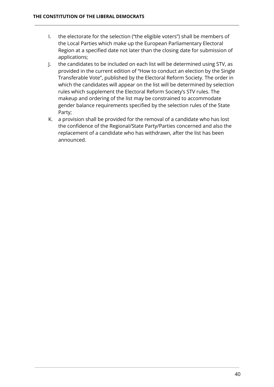- I. the electorate for the selection ("the eligible voters") shall be members of the Local Parties which make up the European Parliamentary Electoral Region at a specified date not later than the closing date for submission of applications;
- J. the candidates to be included on each list will be determined using STV, as provided in the current edition of "How to conduct an election by the Single Transferable Vote", published by the Electoral Reform Society. The order in which the candidates will appear on the list will be determined by selection rules which supplement the Electoral Reform Society's STV rules. The makeup and ordering of the list may be constrained to accommodate gender balance requirements specified by the selection rules of the State Party;
- K. a provision shall be provided for the removal of a candidate who has lost the confidence of the Regional/State Party/Parties concerned and also the replacement of a candidate who has withdrawn, after the list has been announced.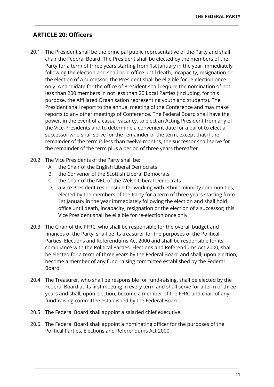## **ARTICLE 20: Officers**

- 20.1 The President shall be the principal public representative of the Party and shall chair the Federal Board. The President shall be elected by the members of the Party for a term of three years starting from 1st January in the year immediately following the election and shall hold office until death, incapacity, resignation or the election of a successor; the President shall be eligible for re-election once only. A candidate for the office of President shall require the nomination of not less than 200 members in not less than 20 Local Parties (including, for this purpose, the Affiliated Organisation representing youth and students). The President shall report to the annual meeting of the Conference and may make reports to any other meetings of Conference. The Federal Board shall have the power, in the event of a casual vacancy, to elect an Acting President from any of the Vice-Presidents and to determine a convenient date for a ballot to elect a successor who shall serve for the remainder of the term, except that if the remainder of the term is less than twelve months, the successor shall serve for the remainder of the term plus a period of three years thereafter.
- 20.2 The Vice Presidents of the Party shall be:
	- A. the Chair of the English Liberal Democrats
	- B. the Convenor of the Scottish Liberal Democrats
	- C. the Chair of the NEC of the Welsh Liberal Democrats
	- D. a Vice President responsible for working with ethnic minority communities, elected by the members of the Party for a term of three years starting from 1st January in the year immediately following the election and shall hold office until death, incapacity, resignation or the election of a successor; this Vice President shall be eligible for re-election once only.
- 20.3 The Chair of the FFRC, who shall be responsible for the overall budget and finances of the Party, shall be its treasurer for the purposes of the Political Parties, Elections and Referendums Act 2000 and shall be responsible for its compliance with the Political Parties, Elections and Referendums Act 2000, shall be elected for a term of three years by the Federal Board and shall, upon election, become a member of any fund-raising committee established by the Federal Board.
- 20.4 The Treasurer, who shall be responsible for fund-raising, shall be elected by the Federal Board at its first meeting in every term and shall serve for a term of three years and shall, upon election, become a member of the FFRC and chair of any fund-raising committee established by the Federal Board.
- 20.5 The Federal Board shall appoint a salaried chief executive.
- 20.6 The Federal Board shall appoint a nominating officer for the purposes of the Political Parties, Elections and Referendums Act 2000.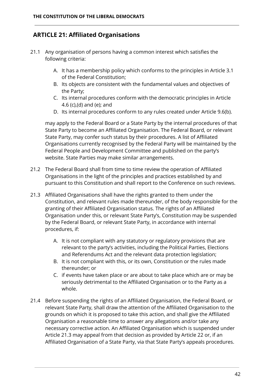## **ARTICLE 21: Affiliated Organisations**

- 21.1 Any organisation of persons having a common interest which satisfies the following criteria:
	- A. It has a membership policy which conforms to the principles in Article 3.1 of the Federal Constitution;
	- B. Its objects are consistent with the fundamental values and objectives of the Party;
	- C. Its internal procedures conform with the democratic principles in Article 4.6 (c),(d) and (e); and
	- D. Its internal procedures conform to any rules created under Article 9.6(b).

may apply to the Federal Board or a State Party by the internal procedures of that State Party to become an Affiliated Organisation. The Federal Board, or relevant State Party, may confer such status by their procedures. A list of Affiliated Organisations currently recognised by the Federal Party will be maintained by the Federal People and Development Committee and published on the party's website. State Parties may make similar arrangements.

- 21.2 The Federal Board shall from time to time review the operation of Affiliated Organisations in the light of the principles and practices established by and pursuant to this Constitution and shall report to the Conference on such reviews.
- 21.3 Affiliated Organisations shall have the rights granted to them under the Constitution, and relevant rules made thereunder, of the body responsible for the granting of their Affiliated Organisation status. The rights of an Affiliated Organisation under this, or relevant State Party's, Constitution may be suspended by the Federal Board, or relevant State Party, in accordance with internal procedures, if:
	- A. It is not compliant with any statutory or regulatory provisions that are relevant to the party's activities, including the Political Parties, Elections and Referendums Act and the relevant data protection legislation;
	- B. It is not compliant with this, or its own, Constitution or the rules made thereunder; or
	- C. if events have taken place or are about to take place which are or may be seriously detrimental to the Affiliated Organisation or to the Party as a whole.
- 21.4 Before suspending the rights of an Affiliated Organisation, the Federal Board, or relevant State Party, shall draw the attention of the Affiliated Organisation to the grounds on which it is proposed to take this action, and shall give the Affiliated Organisation a reasonable time to answer any allegations and/or take any necessary corrective action. An Affiliated Organisation which is suspended under Article 21.3 may appeal from that decision as provided by Article 22 or, if an Affiliated Organisation of a State Party, via that State Party's appeals procedures.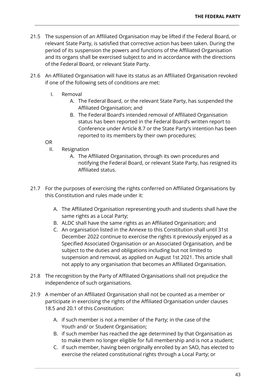- 21.5 The suspension of an Affiliated Organisation may be lifted if the Federal Board, or relevant State Party, is satisfied that corrective action has been taken. During the period of its suspension the powers and functions of the Affiliated Organisation and its organs shall be exercised subject to and in accordance with the directions of the Federal Board, or relevant State Party.
- 21.6 An Affiliated Organisation will have its status as an Affiliated Organisation revoked if one of the following sets of conditions are met:
	- I. Removal
		- A. The Federal Board, or the relevant State Party, has suspended the Affiliated Organisation; and
		- B. The Federal Board's intended removal of Affiliated Organisation status has been reported in the Federal Board's written report to Conference under Article 8.7 or the State Party's intention has been reported to its members by their own procedures;

OR

- II. Resignation
	- A. The Affiliated Organisation, through its own procedures and notifying the Federal Board, or relevant State Party, has resigned its Affiliated status.
- 21.7 For the purposes of exercising the rights conferred on Affiliated Organisations by this Constitution and rules made under it:
	- A. The Affiliated Organisation representing youth and students shall have the same rights as a Local Party;
	- B. ALDC shall have the same rights as an Affiliated Organisation; and
	- C. An organisation listed in the Annexe to this Constitution shall until 31st December 2022 continue to exercise the rights it previously enjoyed as a Specified Associated Organisation or an Associated Organisation, and be subject to the duties and obligations including but not limited to suspension and removal, as applied on August 1st 2021. This article shall not apply to any organisation that becomes an Affiliated Organisation.
- 21.8 The recognition by the Party of Affiliated Organisations shall not prejudice the independence of such organisations.
- 21.9 A member of an Affiliated Organisation shall not be counted as a member or participate in exercising the rights of the Affiliated Organisation under clauses 18.5 and 20.1 of this Constitution:
	- A. if such member is not a member of the Party; in the case of the Youth and/ or Student Organisation;
	- B. if such member has reached the age determined by that Organisation as to make them no longer eligible for full membership and is not a student;
	- C. if such member, having been originally enrolled by an SAO, has elected to exercise the related constitutional rights through a Local Party; or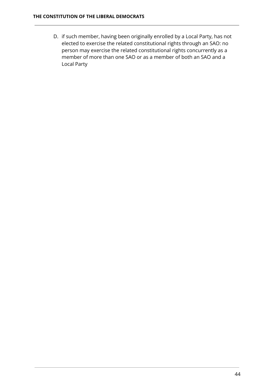D. if such member, having been originally enrolled by a Local Party, has not elected to exercise the related constitutional rights through an SAO: no person may exercise the related constitutional rights concurrently as a member of more than one SAO or as a member of both an SAO and a Local Party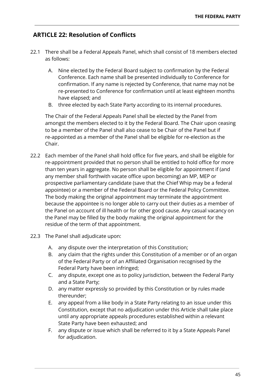## **ARTICLE 22: Resolution of Conflicts**

- 22.1 There shall be a Federal Appeals Panel, which shall consist of 18 members elected as follows:
	- A. Nine elected by the Federal Board subject to confirmation by the Federal Conference. Each name shall be presented individually to Conference for confirmation. If any name is rejected by Conference, that name may not be re-presented to Conference for confirmation until at least eighteen months have elapsed; and
	- B. three elected by each State Party according to its internal procedures.

The Chair of the Federal Appeals Panel shall be elected by the Panel from amongst the members elected to it by the Federal Board. The Chair upon ceasing to be a member of the Panel shall also cease to be Chair of the Panel but if re-appointed as a member of the Panel shall be eligible for re-election as the Chair.

- 22.2 Each member of the Panel shall hold office for five years, and shall be eligible for re-appointment provided that no person shall be entitled to hold office for more than ten years in aggregate. No person shall be eligible for appointment if (and any member shall forthwith vacate office upon becoming) an MP, MEP or prospective parliamentary candidate (save that the Chief Whip may be a federal appointee) or a member of the Federal Board or the Federal Policy Committee. The body making the original appointment may terminate the appointment because the appointee is no longer able to carry out their duties as a member of the Panel on account of ill health or for other good cause. Any casual vacancy on the Panel may be filled by the body making the original appointment for the residue of the term of that appointment.
- 22.3 The Panel shall adjudicate upon:
	- A. any dispute over the interpretation of this Constitution;
	- B. any claim that the rights under this Constitution of a member or of an organ of the Federal Party or of an Affiliated Organisation recognised by the Federal Party have been infringed;
	- C. any dispute, except one as to policy jurisdiction, between the Federal Party and a State Party;
	- D. any matter expressly so provided by this Constitution or by rules made thereunder;
	- E. any appeal from a like body in a State Party relating to an issue under this Constitution, except that no adjudication under this Article shall take place until any appropriate appeals procedures established within a relevant State Party have been exhausted; and
	- F. any dispute or issue which shall be referred to it by a State Appeals Panel for adjudication.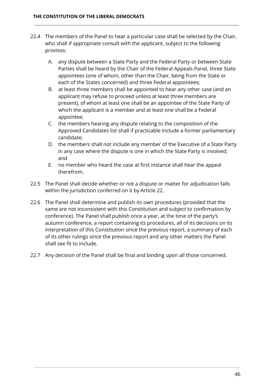- 22.4 The members of the Panel to hear a particular case shall be selected by the Chair, who shall if appropriate consult with the applicant, subject to the following provisos:
	- A. any dispute between a State Party and the Federal Party or between State Parties shall be heard by the Chair of the Federal Appeals Panel, three State appointees (one of whom, other than the Chair, being from the State or each of the States concerned) and three Federal appointees;
	- B. at least three members shall be appointed to hear any other case (and an applicant may refuse to proceed unless at least three members are present), of whom at least one shall be an appointee of the State Party of which the applicant is a member and at least one shall be a Federal appointee;
	- C. the members hearing any dispute relating to the composition of the Approved Candidates list shall if practicable include a former parliamentary candidate;
	- D. the members shall not include any member of the Executive of a State Party in any case where the dispute is one in which the State Party is involved; and
	- E. no member who heard the case at first instance shall hear the appeal therefrom.
- 22.5 The Panel shall decide whether or not a dispute or matter for adjudication falls within the jurisdiction conferred on it by Article 22.
- 22.6 The Panel shall determine and publish its own procedures (provided that the same are not inconsistent with this Constitution and subject to confirmation by conference). The Panel shall publish once a year, at the time of the party's autumn conference, a report containing its procedures, all of its decisions on its interpretation of this Constitution since the previous report, a summary of each of its other rulings since the previous report and any other matters the Panel shall see fit to include.
- 22.7 Any decision of the Panel shall be final and binding upon all those concerned.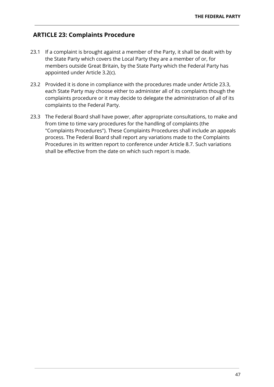## **ARTICLE 23: Complaints Procedure**

- 23.1 If a complaint is brought against a member of the Party, it shall be dealt with by the State Party which covers the Local Party they are a member of or, for members outside Great Britain, by the State Party which the Federal Party has appointed under Article 3.2(c).
- 23.2 Provided it is done in compliance with the procedures made under Article 23.3, each State Party may choose either to administer all of its complaints though the complaints procedure or it may decide to delegate the administration of all of its complaints to the Federal Party.
- 23.3 The Federal Board shall have power, after appropriate consultations, to make and from time to time vary procedures for the handling of complaints (the "Complaints Procedures"). These Complaints Procedures shall include an appeals process. The Federal Board shall report any variations made to the Complaints Procedures in its written report to conference under Article 8.7. Such variations shall be effective from the date on which such report is made.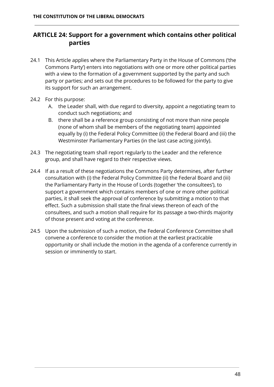## **ARTICLE 24: Support for a government which contains other political parties**

- 24.1 This Article applies where the Parliamentary Party in the House of Commons ('the Commons Party') enters into negotiations with one or more other political parties with a view to the formation of a government supported by the party and such party or parties; and sets out the procedures to be followed for the party to give its support for such an arrangement.
- 24.2 For this purpose:
	- A. the Leader shall, with due regard to diversity, appoint a negotiating team to conduct such negotiations; and
	- B. there shall be a reference group consisting of not more than nine people (none of whom shall be members of the negotiating team) appointed equally by (i) the Federal Policy Committee (ii) the Federal Board and (iii) the Westminster Parliamentary Parties (in the last case acting jointly).
- 24.3 The negotiating team shall report regularly to the Leader and the reference group, and shall have regard to their respective views.
- 24.4 If as a result of these negotiations the Commons Party determines, after further consultation with (i) the Federal Policy Committee (ii) the Federal Board and (iii) the Parliamentary Party in the House of Lords (together 'the consultees'), to support a government which contains members of one or more other political parties, it shall seek the approval of conference by submitting a motion to that effect. Such a submission shall state the final views thereon of each of the consultees, and such a motion shall require for its passage a two-thirds majority of those present and voting at the conference.
- 24.5 Upon the submission of such a motion, the Federal Conference Committee shall convene a conference to consider the motion at the earliest practicable opportunity or shall include the motion in the agenda of a conference currently in session or imminently to start.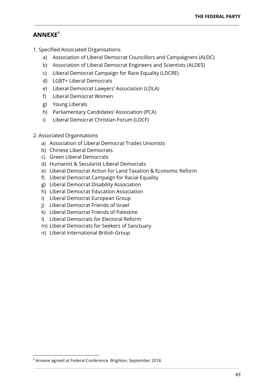## **ANNEXE 1**

- 1. Specified Associated Organisations
	- a) Association of Liberal Democrat Councillors and Campaigners (ALDC)
	- b) Association of Liberal Democrat Engineers and Scientists (ALDES)
	- c) Liberal Democrat Campaign for Race Equality (LDCRE)
	- d) LGBT+ Liberal Democrats
	- e) Liberal Democrat Lawyers' Association (LDLA)
	- f) Liberal Democrat Women
	- g) Young Liberals
	- h) Parliamentary Candidates' Association (PCA)
	- i) Liberal Democrat Christian Forum (LDCF)

### 2. Associated Organisations

- a) Association of Liberal Democrat Trades Unionists
- b) Chinese Liberal Democrats
- c) Green Liberal Democrats
- d) Humanist & Secularist Liberal Democrats
- e) Liberal Democrat Action for Land Taxation & Economic Reform
- f) Liberal Democrat Campaign for Racial Equality
- g) Liberal Democrat Disability Association
- h) Liberal Democrat Education Association
- i) Liberal Democrat European Group
- j) Liberal Democrat Friends of Israel
- k) Liberal Democrat Friends of Palestine
- l) Liberal Democrats for Electoral Reform
- m) Liberal Democrats for Seekers of Sanctuary
- n) Liberal International British Group

**<sup>1</sup>** Annexe agreed at Federal Conference, Brighton, September 2018 .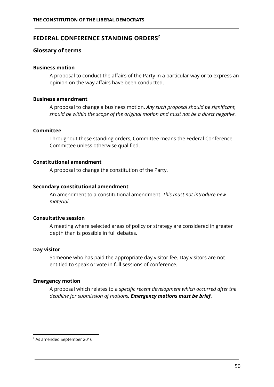## **FEDERAL CONFERENCE STANDING ORDERS 2**

### **Glossary of terms**

#### **Business motion**

A proposal to conduct the affairs of the Party in a particular way or to express an opinion on the way affairs have been conducted.

#### **Business amendment**

A proposal to change a business motion. *Any such proposal should be significant, should be within the scope of the original motion and must not be a direct negative.*

#### **Committee**

Throughout these standing orders, Committee means the Federal Conference Committee unless otherwise qualified.

#### **Constitutional amendment**

A proposal to change the constitution of the Party.

#### **Secondary constitutional amendment**

An amendment to a constitutional amendment. *This must not introduce new material*.

### **Consultative session**

A meeting where selected areas of policy or strategy are considered in greater depth than is possible in full debates.

### **Day visitor**

Someone who has paid the appropriate day visitor fee. Day visitors are not entitled to speak or vote in full sessions of conference.

### **Emergency motion**

A proposal which relates to a *specific recent development which occurred after the deadline for submission of motions. Emergency motions must be brief*.

<sup>2</sup> As amended September 2016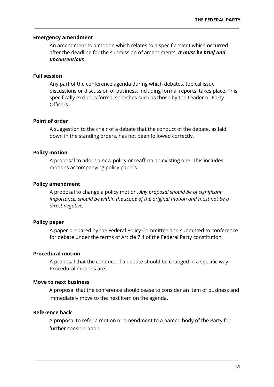#### **Emergency amendment**

An amendment to a motion which relates to a specific event which occurred after the deadline for the submission of amendments. *It must be brief and uncontentious*.

#### **Full session**

Any part of the conference agenda during which debates, topical issue discussions or discussion of business, including formal reports, takes place. This specifically excludes formal speeches such as those by the Leader or Party Officers.

### **Point of order**

A suggestion to the chair of a debate that the conduct of the debate, as laid down in the standing orders, has not been followed correctly.

#### **Policy motion**

A proposal to adopt a new policy or reaffirm an existing one. This includes motions accompanying policy papers.

#### **Policy amendment**

A proposal to change a policy motion. *Any proposal should be of significant importance, should be within the scope of the original motion and must not be a direct negative.*

### **Policy paper**

A paper prepared by the Federal Policy Committee and submitted to conference for debate under the terms of Article 7.4 of the Federal Party constitution.

#### **Procedural motion**

A proposal that the conduct of a debate should be changed in a specific way. Procedural motions are:

#### **Move to next business**

A proposal that the conference should cease to consider an item of business and immediately move to the next item on the agenda.

### **Reference back**

A proposal to refer a motion or amendment to a named body of the Party for further consideration.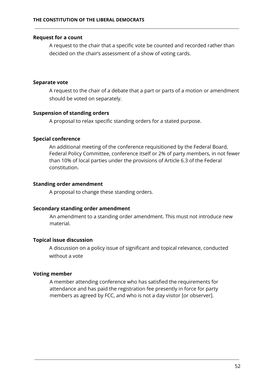#### **Request for a count**

A request to the chair that a specific vote be counted and recorded rather than decided on the chair's assessment of a show of voting cards.

#### **Separate vote**

A request to the chair of a debate that a part or parts of a motion or amendment should be voted on separately.

#### **Suspension of standing orders**

A proposal to relax specific standing orders for a stated purpose.

### **Special conference**

An additional meeting of the conference requisitioned by the Federal Board, Federal Policy Committee, conference itself or 2% of party members, in not fewer than 10% of local parties under the provisions of Article 6.3 of the Federal constitution.

#### **Standing order amendment**

A proposal to change these standing orders.

### **Secondary standing order amendment**

An amendment to a standing order amendment. This must not introduce new material.

### **Topical issue discussion**

A discussion on a policy issue of significant and topical relevance, conducted without a vote

### **Voting member**

A member attending conference who has satisfied the requirements for attendance and has paid the registration fee presently in force for party members as agreed by FCC, and who is not a day visitor [or observer].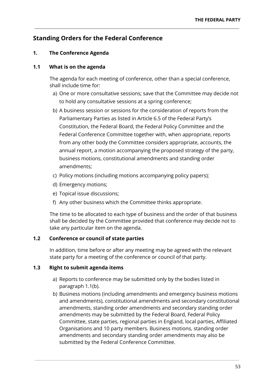## **Standing Orders for the Federal Conference**

### **1. The Conference Agenda**

#### **1.1 What is on the agenda**

The agenda for each meeting of conference, other than a special conference, shall include time for:

- a) One or more consultative sessions; save that the Committee may decide not to hold any consultative sessions at a spring conference;
- b) A business session or sessions for the consideration of reports from the Parliamentary Parties as listed in Article 6.5 of the Federal Party's Constitution, the Federal Board, the Federal Policy Committee and the Federal Conference Committee together with, when appropriate, reports from any other body the Committee considers appropriate, accounts, the annual report, a motion accompanying the proposed strategy of the party, business motions, constitutional amendments and standing order amendments;
- c) Policy motions (including motions accompanying policy papers);
- d) Emergency motions;
- e) Topical issue discussions;
- f) Any other business which the Committee thinks appropriate.

The time to be allocated to each type of business and the order of that business shall be decided by the Committee provided that conference may decide not to take any particular item on the agenda.

### **1.2 Conference or council of state parties**

In addition, time before or after any meeting may be agreed with the relevant state party for a meeting of the conference or council of that party.

### **1.3 Right to submit agenda items**

- a) Reports to conference may be submitted only by the bodies listed in paragraph 1.1(b).
- b) Business motions (including amendments and emergency business motions and amendments), constitutional amendments and secondary constitutional amendments, standing order amendments and secondary standing order amendments may be submitted by the Federal Board, Federal Policy Committee, state parties, regional parties in England, local parties, Affiliated Organisations and 10 party members. Business motions, standing order amendments and secondary standing order amendments may also be submitted by the Federal Conference Committee.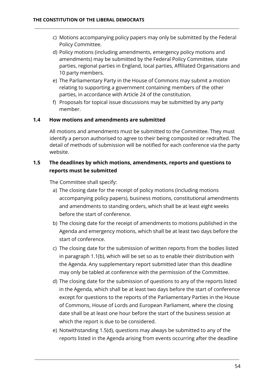- c) Motions accompanying policy papers may only be submitted by the Federal Policy Committee.
- d) Policy motions (including amendments, emergency policy motions and amendments) may be submitted by the Federal Policy Committee, state parties, regional parties in England, local parties, Affiliated Organisations and 10 party members.
- e) The Parliamentary Party in the House of Commons may submit a motion relating to supporting a government containing members of the other parties, in accordance with Article 24 of the constitution.
- f) Proposals for topical issue discussions may be submitted by any party member.

### **1.4 How motions and amendments are submitted**

All motions and amendments must be submitted to the Committee. They must identify a person authorised to agree to their being composited or redrafted. The detail of methods of submission will be notified for each conference via the party website.

## **1.5 The deadlines by which motions, amendments, reports and questions to reports must be submitted**

The Committee shall specify:

- a) The closing date for the receipt of policy motions (including motions accompanying policy papers), business motions, constitutional amendments and amendments to standing orders, which shall be at least eight weeks before the start of conference.
- b) The closing date for the receipt of amendments to motions published in the Agenda and emergency motions, which shall be at least two days before the start of conference.
- c) The closing date for the submission of written reports from the bodies listed in paragraph 1.1(b), which will be set so as to enable their distribution with the Agenda. Any supplementary report submitted later than this deadline may only be tabled at conference with the permission of the Committee.
- d) The closing date for the submission of questions to any of the reports listed in the Agenda, which shall be at least two days before the start of conference except for questions to the reports of the Parliamentary Parties in the House of Commons, House of Lords and European Parliament, where the closing date shall be at least one hour before the start of the business session at which the report is due to be considered.
- e) Notwithstanding 1.5(d), questions may always be submitted to any of the reports listed in the Agenda arising from events occurring after the deadline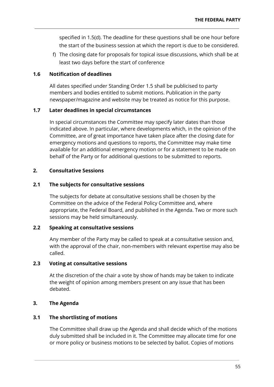specified in 1.5(d). The deadline for these questions shall be one hour before the start of the business session at which the report is due to be considered.

f) The closing date for proposals for topical issue discussions, which shall be at least two days before the start of conference

### **1.6 Notification of deadlines**

All dates specified under Standing Order 1.5 shall be publicised to party members and bodies entitled to submit motions. Publication in the party newspaper/magazine and website may be treated as notice for this purpose.

### **1.7 Later deadlines in special circumstances**

In special circumstances the Committee may specify later dates than those indicated above. In particular, where developments which, in the opinion of the Committee, are of great importance have taken place after the closing date for emergency motions and questions to reports, the Committee may make time available for an additional emergency motion or for a statement to be made on behalf of the Party or for additional questions to be submitted to reports.

### **2. Consultative Sessions**

### **2.1 The subjects for consultative sessions**

The subjects for debate at consultative sessions shall be chosen by the Committee on the advice of the Federal Policy Committee and, where appropriate, the Federal Board, and published in the Agenda. Two or more such sessions may be held simultaneously.

### **2.2 Speaking at consultative sessions**

Any member of the Party may be called to speak at a consultative session and, with the approval of the chair, non-members with relevant expertise may also be called.

### **2.3 Voting at consultative sessions**

At the discretion of the chair a vote by show of hands may be taken to indicate the weight of opinion among members present on any issue that has been debated.

### **3. The Agenda**

### **3.1 The shortlisting of motions**

The Committee shall draw up the Agenda and shall decide which of the motions duly submitted shall be included in it. The Committee may allocate time for one or more policy or business motions to be selected by ballot. Copies of motions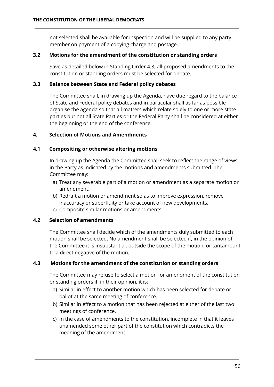not selected shall be available for inspection and will be supplied to any party member on payment of a copying charge and postage.

### **3.2 Motions for the amendment of the constitution or standing orders**

Save as detailed below in Standing Order 4.3, all proposed amendments to the constitution or standing orders must be selected for debate.

### **3.3 Balance between State and Federal policy debates**

The Committee shall, in drawing up the Agenda, have due regard to the balance of State and Federal policy debates and in particular shall as far as possible organise the agenda so that all matters which relate solely to one or more state parties but not all State Parties or the Federal Party shall be considered at either the beginning or the end of the conference.

### **4. Selection of Motions and Amendments**

### **4.1 Compositing or otherwise altering motions**

In drawing up the Agenda the Committee shall seek to reflect the range of views in the Party as indicated by the motions and amendments submitted. The Committee may:

- a) Treat any severable part of a motion or amendment as a separate motion or amendment.
- b) Redraft a motion or amendment so as to improve expression, remove inaccuracy or superfluity or take account of new developments.
- c) Composite similar motions or amendments.

### **4.2 Selection of amendments**

The Committee shall decide which of the amendments duly submitted to each motion shall be selected. No amendment shall be selected if, in the opinion of the Committee it is insubstantial, outside the scope of the motion, or tantamount to a direct negative of the motion.

### **4.3 Motions for the amendment of the constitution or standing orders**

The Committee may refuse to select a motion for amendment of the constitution or standing orders if, in their opinion, it is:

- a) Similar in effect to another motion which has been selected for debate or ballot at the same meeting of conference.
- b) Similar in effect to a motion that has been rejected at either of the last two meetings of conference.
- c) In the case of amendments to the constitution, incomplete in that it leaves unamended some other part of the constitution which contradicts the meaning of the amendment.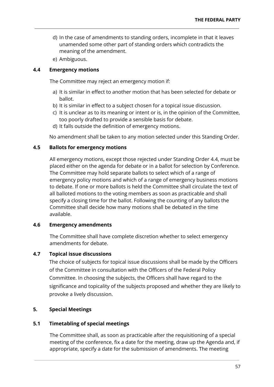- d) In the case of amendments to standing orders, incomplete in that it leaves unamended some other part of standing orders which contradicts the meaning of the amendment.
- e) Ambiguous.

### **4.4 Emergency motions**

The Committee may reject an emergency motion if:

- a) It is similar in effect to another motion that has been selected for debate or ballot.
- b) It is similar in effect to a subject chosen for a topical issue discussion.
- c) It is unclear as to its meaning or intent or is, in the opinion of the Committee, too poorly drafted to provide a sensible basis for debate.
- d) It falls outside the definition of emergency motions.

No amendment shall be taken to any motion selected under this Standing Order.

### **4.5 Ballots for emergency motions**

All emergency motions, except those rejected under Standing Order 4.4, must be placed either on the agenda for debate or in a ballot for selection by Conference. The Committee may hold separate ballots to select which of a range of emergency policy motions and which of a range of emergency business motions to debate. If one or more ballots is held the Committee shall circulate the text of all balloted motions to the voting members as soon as practicable and shall specify a closing time for the ballot. Following the counting of any ballots the Committee shall decide how many motions shall be debated in the time available.

### **4.6 Emergency amendments**

The Committee shall have complete discretion whether to select emergency amendments for debate.

### **4.7 Topical issue discussions**

The choice of subjects for topical issue discussions shall be made by the Officers of the Committee in consultation with the Officers of the Federal Policy Committee. In choosing the subjects, the Officers shall have regard to the significance and topicality of the subjects proposed and whether they are likely to provoke a lively discussion.

### **5. Special Meetings**

### **5.1 Timetabling of special meetings**

The Committee shall, as soon as practicable after the requisitioning of a special meeting of the conference, fix a date for the meeting, draw up the Agenda and, if appropriate, specify a date for the submission of amendments. The meeting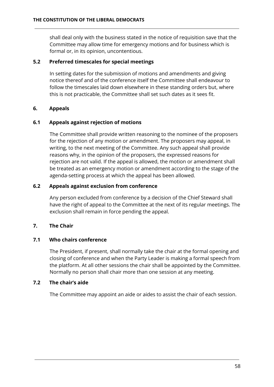shall deal only with the business stated in the notice of requisition save that the Committee may allow time for emergency motions and for business which is formal or, in its opinion, uncontentious.

### **5.2 Preferred timescales for special meetings**

In setting dates for the submission of motions and amendments and giving notice thereof and of the conference itself the Committee shall endeavour to follow the timescales laid down elsewhere in these standing orders but, where this is not practicable, the Committee shall set such dates as it sees fit.

### **6. Appeals**

### **6.1 Appeals against rejection of motions**

The Committee shall provide written reasoning to the nominee of the proposers for the rejection of any motion or amendment. The proposers may appeal, in writing, to the next meeting of the Committee. Any such appeal shall provide reasons why, in the opinion of the proposers, the expressed reasons for rejection are not valid. If the appeal is allowed, the motion or amendment shall be treated as an emergency motion or amendment according to the stage of the agenda-setting process at which the appeal has been allowed.

### **6.2 Appeals against exclusion from conference**

Any person excluded from conference by a decision of the Chief Steward shall have the right of appeal to the Committee at the next of its regular meetings. The exclusion shall remain in force pending the appeal.

### **7. The Chair**

### **7.1 Who chairs conference**

The President, if present, shall normally take the chair at the formal opening and closing of conference and when the Party Leader is making a formal speech from the platform. At all other sessions the chair shall be appointed by the Committee. Normally no person shall chair more than one session at any meeting.

### **7.2 The chair's aide**

The Committee may appoint an aide or aides to assist the chair of each session.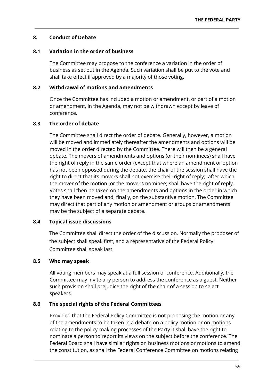#### **8. Conduct of Debate**

#### **8.1 Variation in the order of business**

The Committee may propose to the conference a variation in the order of business as set out in the Agenda. Such variation shall be put to the vote and shall take effect if approved by a majority of those voting.

#### **8.2 Withdrawal of motions and amendments**

Once the Committee has included a motion or amendment, or part of a motion or amendment, in the Agenda, may not be withdrawn except by leave of conference.

### **8.3 The order of debate**

The Committee shall direct the order of debate. Generally, however, a motion will be moved and immediately thereafter the amendments and options will be moved in the order directed by the Committee. There will then be a general debate. The movers of amendments and options (or their nominees) shall have the right of reply in the same order (except that where an amendment or option has not been opposed during the debate, the chair of the session shall have the right to direct that its movers shall not exercise their right of reply), after which the mover of the motion (or the mover's nominee) shall have the right of reply. Votes shall then be taken on the amendments and options in the order in which they have been moved and, finally, on the substantive motion. The Committee may direct that part of any motion or amendment or groups or amendments may be the subject of a separate debate.

#### **8.4 Topical issue discussions**

The Committee shall direct the order of the discussion. Normally the proposer of the subject shall speak first, and a representative of the Federal Policy Committee shall speak last.

#### **8.5 Who may speak**

All voting members may speak at a full session of conference. Additionally, the Committee may invite any person to address the conference as a guest. Neither such provision shall prejudice the right of the chair of a session to select speakers.

#### **8.6 The special rights of the Federal Committees**

Provided that the Federal Policy Committee is not proposing the motion or any of the amendments to be taken in a debate on a policy motion or on motions relating to the policy-making processes of the Party it shall have the right to nominate a person to report its views on the subject before the conference. The Federal Board shall have similar rights on business motions or motions to amend the constitution, as shall the Federal Conference Committee on motions relating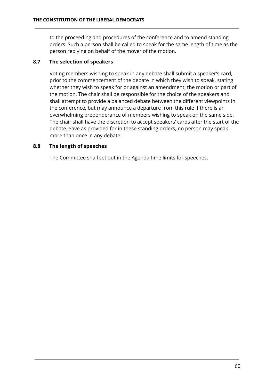to the proceeding and procedures of the conference and to amend standing orders. Such a person shall be called to speak for the same length of time as the person replying on behalf of the mover of the motion.

### **8.7 The selection of speakers**

Voting members wishing to speak in any debate shall submit a speaker's card, prior to the commencement of the debate in which they wish to speak, stating whether they wish to speak for or against an amendment, the motion or part of the motion. The chair shall be responsible for the choice of the speakers and shall attempt to provide a balanced debate between the different viewpoints in the conference, but may announce a departure from this rule if there is an overwhelming preponderance of members wishing to speak on the same side. The chair shall have the discretion to accept speakers' cards after the start of the debate. Save as provided for in these standing orders, no person may speak more than once in any debate.

### **8.8 The length of speeches**

The Committee shall set out in the Agenda time limits for speeches.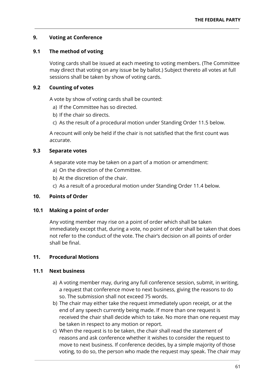### **9. Voting at Conference**

### **9.1 The method of voting**

Voting cards shall be issued at each meeting to voting members. (The Committee may direct that voting on any issue be by ballot.) Subject thereto all votes at full sessions shall be taken by show of voting cards.

### **9.2 Counting of votes**

A vote by show of voting cards shall be counted:

- a) If the Committee has so directed.
- b) If the chair so directs.
- c) As the result of a procedural motion under Standing Order 11.5 below.

A recount will only be held if the chair is not satisfied that the first count was accurate.

### **9.3 Separate votes**

A separate vote may be taken on a part of a motion or amendment:

- a) On the direction of the Committee.
- b) At the discretion of the chair.
- c) As a result of a procedural motion under Standing Order 11.4 below.

### **10. Points of Order**

### **10.1 Making a point of order**

Any voting member may rise on a point of order which shall be taken immediately except that, during a vote, no point of order shall be taken that does not refer to the conduct of the vote. The chair's decision on all points of order shall be final.

### **11. Procedural Motions**

### **11.1 Next business**

- a) A voting member may, during any full conference session, submit, in writing, a request that conference move to next business, giving the reasons to do so. The submission shall not exceed 75 words.
- b) The chair may either take the request immediately upon receipt, or at the end of any speech currently being made. If more than one request is received the chair shall decide which to take. No more than one request may be taken in respect to any motion or report.
- c) When the request is to be taken, the chair shall read the statement of reasons and ask conference whether it wishes to consider the request to move to next business. If conference decides, by a simple majority of those voting, to do so, the person who made the request may speak. The chair may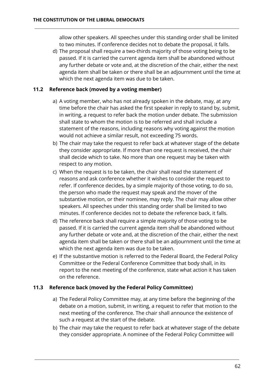allow other speakers. All speeches under this standing order shall be limited to two minutes. If conference decides not to debate the proposal, it falls.

d) The proposal shall require a two-thirds majority of those voting being to be passed. If it is carried the current agenda item shall be abandoned without any further debate or vote and, at the discretion of the chair, either the next agenda item shall be taken or there shall be an adjournment until the time at which the next agenda item was due to be taken.

### **11.2 Reference back (moved by a voting member)**

- a) A voting member, who has not already spoken in the debate, may, at any time before the chair has asked the first speaker in reply to stand by, submit, in writing, a request to refer back the motion under debate. The submission shall state to whom the motion is to be referred and shall include a statement of the reasons, including reasons why voting against the motion would not achieve a similar result, not exceeding 75 words.
- b) The chair may take the request to refer back at whatever stage of the debate they consider appropriate. If more than one request is received, the chair shall decide which to take. No more than one request may be taken with respect to any motion.
- c) When the request is to be taken, the chair shall read the statement of reasons and ask conference whether it wishes to consider the request to refer. If conference decides, by a simple majority of those voting, to do so, the person who made the request may speak and the mover of the substantive motion, or their nominee, may reply. The chair may allow other speakers. All speeches under this standing order shall be limited to two minutes. If conference decides not to debate the reference back, it falls.
- d) The reference back shall require a simple majority of those voting to be passed. If it is carried the current agenda item shall be abandoned without any further debate or vote and, at the discretion of the chair, either the next agenda item shall be taken or there shall be an adjournment until the time at which the next agenda item was due to be taken.
- e) If the substantive motion is referred to the Federal Board, the Federal Policy Committee or the Federal Conference Committee that body shall, in its report to the next meeting of the conference, state what action it has taken on the reference.

### **11.3 Reference back (moved by the Federal Policy Committee)**

- a) The Federal Policy Committee may, at any time before the beginning of the debate on a motion, submit, in writing, a request to refer that motion to the next meeting of the conference. The chair shall announce the existence of such a request at the start of the debate.
- b) The chair may take the request to refer back at whatever stage of the debate they consider appropriate. A nominee of the Federal Policy Committee will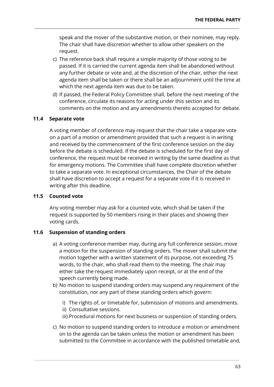speak and the mover of the substantive motion, or their nominee, may reply. The chair shall have discretion whether to allow other speakers on the request.

- c) The reference back shall require a simple majority of those voting to be passed. If it is carried the current agenda item shall be abandoned without any further debate or vote and, at the discretion of the chair, either the next agenda item shall be taken or there shall be an adjournment until the time at which the next agenda item was due to be taken.
- d) If passed, the Federal Policy Committee shall, before the next meeting of the conference, circulate its reasons for acting under this section and its comments on the motion and any amendments thereto accepted for debate.

#### **11.4 Separate vote**

A voting member of conference may request that the chair take a separate vote on a part of a motion or amendment provided that such a request is in writing and received by the commencement of the first conference session on the day before the debate is scheduled. If the debate is scheduled for the first day of conference, the request must be received in writing by the same deadline as that for emergency motions. The Committee shall have complete discretion whether to take a separate vote. In exceptional circumstances, the Chair of the debate shall have discretion to accept a request for a separate vote if it is received in writing after this deadline.

#### **11.5 Counted vote**

Any voting member may ask for a counted vote, which shall be taken if the request is supported by 50 members rising in their places and showing their voting cards.

#### **11.6 Suspension of standing orders**

- a) A voting conference member may, during any full conference session, move a motion for the suspension of standing orders. The mover shall submit the motion together with a written statement of its purpose, not exceeding 75 words, to the chair, who shall read them to the meeting. The chair may either take the request immediately upon receipt, or at the end of the speech currently being made.
- b) No motion to suspend standing orders may suspend any requirement of the constitution, nor any part of these standing orders which govern:
	- i) The rights of, or timetable for, submission of motions and amendments.
	- ii) Consultative sessions.
	- iii) Procedural motions for next business or suspension of standing orders.
- c) No motion to suspend standing orders to introduce a motion or amendment on to the agenda can be taken unless the motion or amendment has been submitted to the Committee in accordance with the published timetable and,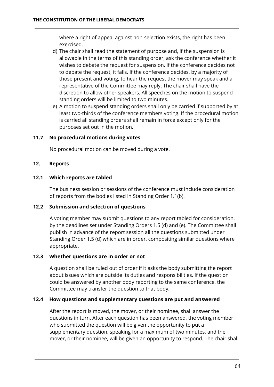where a right of appeal against non-selection exists, the right has been exercised.

- d) The chair shall read the statement of purpose and, if the suspension is allowable in the terms of this standing order, ask the conference whether it wishes to debate the request for suspension. If the conference decides not to debate the request, it falls. If the conference decides, by a majority of those present and voting, to hear the request the mover may speak and a representative of the Committee may reply. The chair shall have the discretion to allow other speakers. All speeches on the motion to suspend standing orders will be limited to two minutes.
- e) A motion to suspend standing orders shall only be carried if supported by at least two-thirds of the conference members voting. If the procedural motion is carried all standing orders shall remain in force except only for the purposes set out in the motion.

### **11.7 No procedural motions during votes**

No procedural motion can be moved during a vote.

### **12. Reports**

### **12.1 Which reports are tabled**

The business session or sessions of the conference must include consideration of reports from the bodies listed in Standing Order 1.1(b).

### **12.2 Submission and selection of questions**

A voting member may submit questions to any report tabled for consideration, by the deadlines set under Standing Orders 1.5 (d) and (e). The Committee shall publish in advance of the report session all the questions submitted under Standing Order 1.5 (d) which are in order, compositing similar questions where appropriate.

### **12.3 Whether questions are in order or not**

A question shall be ruled out of order if it asks the body submitting the report about issues which are outside its duties and responsibilities. If the question could be answered by another body reporting to the same conference, the Committee may transfer the question to that body.

### **12.4 How questions and supplementary questions are put and answered**

After the report is moved, the mover, or their nominee, shall answer the questions in turn. After each question has been answered, the voting member who submitted the question will be given the opportunity to put a supplementary question, speaking for a maximum of two minutes, and the mover, or their nominee, will be given an opportunity to respond. The chair shall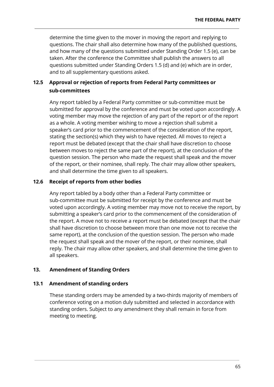determine the time given to the mover in moving the report and replying to questions. The chair shall also determine how many of the published questions, and how many of the questions submitted under Standing Order 1.5 (e), can be taken. After the conference the Committee shall publish the answers to all questions submitted under Standing Orders 1.5 (d) and (e) which are in order, and to all supplementary questions asked.

### **12.5 Approval or rejection of reports from Federal Party committees or sub-committees**

Any report tabled by a Federal Party committee or sub-committee must be submitted for approval by the conference and must be voted upon accordingly. A voting member may move the rejection of any part of the report or of the report as a whole. A voting member wishing to move a rejection shall submit a speaker's card prior to the commencement of the consideration of the report, stating the section(s) which they wish to have rejected. All moves to reject a report must be debated (except that the chair shall have discretion to choose between moves to reject the same part of the report), at the conclusion of the question session. The person who made the request shall speak and the mover of the report, or their nominee, shall reply. The chair may allow other speakers, and shall determine the time given to all speakers.

### **12.6 Receipt of reports from other bodies**

Any report tabled by a body other than a Federal Party committee or sub-committee must be submitted for receipt by the conference and must be voted upon accordingly. A voting member may move not to receive the report, by submitting a speaker's card prior to the commencement of the consideration of the report. A move not to receive a report must be debated (except that the chair shall have discretion to choose between more than one move not to receive the same report), at the conclusion of the question session. The person who made the request shall speak and the mover of the report, or their nominee, shall reply. The chair may allow other speakers, and shall determine the time given to all speakers.

### **13. Amendment of Standing Orders**

### **13.1 Amendment of standing orders**

These standing orders may be amended by a two-thirds majority of members of conference voting on a motion duly submitted and selected in accordance with standing orders. Subject to any amendment they shall remain in force from meeting to meeting.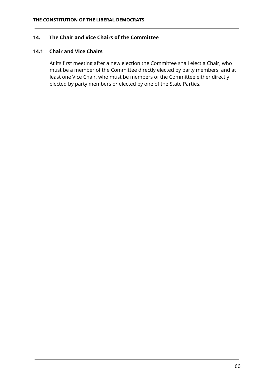### **14. The Chair and Vice Chairs of the Committee**

### **14.1 Chair and Vice Chairs**

At its first meeting after a new election the Committee shall elect a Chair, who must be a member of the Committee directly elected by party members, and at least one Vice Chair, who must be members of the Committee either directly elected by party members or elected by one of the State Parties.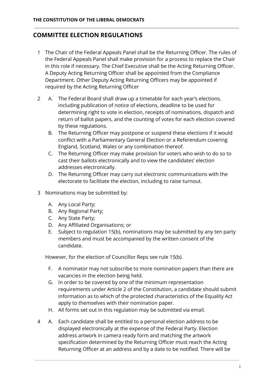## **COMMITTEE ELECTION REGULATIONS**

- 1 The Chair of the Federal Appeals Panel shall be the Returning Officer. The rules of the Federal Appeals Panel shall make provision for a process to replace the Chair in this role if necessary. The Chief Executive shall be the Acting Returning Officer. A Deputy Acting Returning Officer shall be appointed from the Compliance Department. Other Deputy Acting Returning Officers may be appointed if required by the Acting Returning Officer
- 2 A. The Federal Board shall draw up a timetable for each year's elections, including publication of notice of elections, deadline to be used for determining right to vote in election, receipts of nominations, dispatch and return of ballot papers, and the counting of votes for each election covered by these regulations.
	- B. The Returning Officer may postpone or suspend these elections if it would conflict with a Parliamentary General Election or a Referendum covering England, Scotland, Wales or any combination thereof.
	- C. The Returning Officer may make provision for voters who wish to do so to cast their ballots electronically and to view the candidates' election addresses electronically.
	- D. The Returning Officer may carry out electronic communications with the electorate to facilitate the election, including to raise turnout.
- 3 Nominations may be submitted by:
	- A. Any Local Party;
	- B. Any Regional Party;
	- C. Any State Party;
	- D. Any Affiliated Organisations; or
	- E. Subject to regulation 15(b), nominations may be submitted by any ten party members and must be accompanied by the written consent of the candidate.

However, for the election of Councillor Reps see rule 15(b).

- F. A nominator may not subscribe to more nomination papers than there are vacancies in the election being held.
- G. In order to be covered by one of the minimum representation requirements under Article 2 of the Constitution, a candidate should submit information as to which of the protected characteristics of the Equality Act apply to themselves with their nomination paper.
- H. All forms set out in this regulation may be submitted via email.
- 4 A. Each candidate shall be entitled to a personal election address to be displayed electronically at the expense of the Federal Party. Election address artwork in camera ready form and matching the artwork specification determined by the Returning Officer must reach the Acting Returning Officer at an address and by a date to be notified. There will be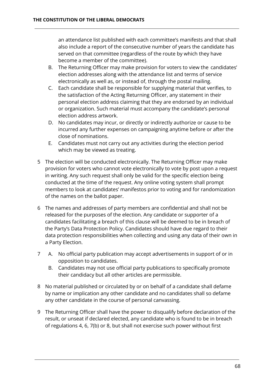an attendance list published with each committee's manifests and that shall also include a report of the consecutive number of years the candidate has served on that committee (regardless of the route by which they have become a member of the committee).

- B. The Returning Officer may make provision for voters to view the candidates' election addresses along with the attendance list and terms of service electronically as well as, or instead of, through the postal mailing.
- C. Each candidate shall be responsible for supplying material that verifies, to the satisfaction of the Acting Returning Officer, any statement in their personal election address claiming that they are endorsed by an individual or organization. Such material must accompany the candidate's personal election address artwork.
- D. No candidates may incur, or directly or indirectly authorize or cause to be incurred any further expenses on campaigning anytime before or after the close of nominations.
- E. Candidates must not carry out any activities during the election period which may be viewed as treating.
- 5 The election will be conducted electronically. The Returning Officer may make provision for voters who cannot vote electronically to vote by post upon a request in writing. Any such request shall only be valid for the specific election being conducted at the time of the request. Any online voting system shall prompt members to look at candidates' manifestos prior to voting and for randomization of the names on the ballot paper.
- 6 The names and addresses of party members are confidential and shall not be released for the purposes of the election. Any candidate or supporter of a candidates facilitating a breach of this clause will be deemed to be in breach of the Party's Data Protection Policy. Candidates should have due regard to their data protection responsibilities when collecting and using any data of their own in a Party Election.
- 7 A. No official party publication may accept advertisements in support of or in opposition to candidates.
	- B. Candidates may not use official party publications to specifically promote their candidacy but all other articles are permissible.
- 8 No material published or circulated by or on behalf of a candidate shall defame by name or implication any other candidate and no candidates shall so defame any other candidate in the course of personal canvassing.
- 9 The Returning Officer shall have the power to disqualify before declaration of the result, or unseat if declared elected, any candidate who is found to be in breach of regulations 4, 6, 7(b) or 8, but shall not exercise such power without first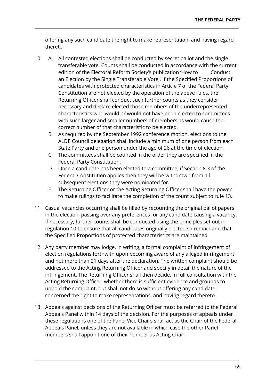offering any such candidate the right to make representation, and having regard thereto

- 10 A. All contested elections shall be conducted by secret ballot and the single transferable vote. Counts shall be conducted in accordance with the current edition of the Electoral Reform Society's publication 'How to Conduct an Election by the Single Transferable Vote;. If the Specified Proportions of candidates with protected characteristics in Article 7 of the Federal Party Constitution are not elected by the operation of the above rules, the Returning Officer shall conduct such further counts as they consider necessary and declare elected those members of the underrepresented characteristics who would or would not have been elected to committees with such larger and smaller numbers of members as would cause the correct number of that characteristic to be elected.
	- B. As required by the September 1992 conference motion, elections to the ALDE Council delegation shall include a minimum of one person from each State Party and one person under the age of 26 at the time of election.
	- C. The committees shall be counted in the order they are specified in the Federal Party Constitution.
	- D. Once a candidate has been elected to a committee, if Section 8.3 of the Federal Constitution applies then they will be withdrawn from all subsequent elections they were nominated for.
	- E. The Returning Officer or the Acting Returning Officer shall have the power to make rulings to facilitate the completion of the count subject to rule 13.
- 11 Casual vacancies occurring shall be filled by recounting the original ballot papers in the election, passing over any preferences for any candidate causing a vacancy. If necessary, further counts shall be conducted using the principles set out in regulation 10 to ensure that all candidates originally elected so remain and that the Specified Proportions of protected characteristics are maintained
- 12 Any party member may lodge, in writing, a formal complaint of infringement of election regulations forthwith upon becoming aware of any alleged infringement and not more than 21 days after the declaration. The written complaint should be addressed to the Acting Returning Officer and specify in detail the nature of the infringement. The Returning Officer shall then decide, in full consultation with the Acting Returning Officer, whether there is sufficient evidence and grounds to uphold the complaint, but shall not do so without offering any candidate concerned the right to make representations, and having regard thereto.
- 13 Appeals against decisions of the Returning Officer must be referred to the Federal Appeals Panel within 14 days of the decision. For the purposes of appeals under these regulations one of the Panel Vice Chairs shall act as the Chair of the Federal Appeals Panel, unless they are not available in which case the other Panel members shall appoint one of their number as Acting Chair.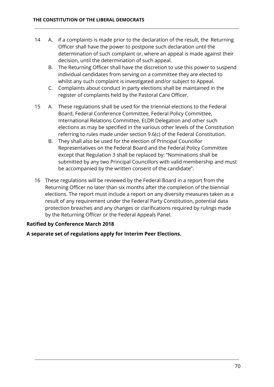- 14 A. if a complaints is made prior to the declaration of the result, the Returning Officer shall have the power to postpone such declaration until the determination of such complaint or, where an appeal is made against their decision, until the determination of such appeal.
	- B. The Returning Officer shall have the discretion to use this power to suspend individual candidates from serving on a committee they are elected to whilst any such complaint is investigated and/or subject to Appeal.
	- C. Complaints about conduct in party elections shall be maintained in the register of complaints held by the Pastoral Care Officer.
- 15 A. These regulations shall be used for the triennial elections to the Federal Board, Federal Conference Committee, Federal Policy Committee, International Relations Committee, ELDR Delegation and other such elections as may be specified in the various other levels of the Constitution referring to rules made under section 9.6(c) of the Federal Constitution.
	- B. They shall also be used for the election of Principal Councillor Representatives on the Federal Board and the Federal Policy Committee except that Regulation 3 shall be replaced by: "Nominations shall be submitted by any two Principal Councillors with valid membership and must be accompanied by the written consent of the candidate".
- 16 These regulations will be reviewed by the Federal Board in a report from the Returning Officer no later than six months after the completion of the biennial elections. The report must include a report on any diversity measures taken as a result of any requirement under the Federal Party Constitution, potential data protection breaches and any changes or clarifications required by rulings made by the Returning Officer or the Federal Appeals Panel.

## **Ratified by Conference March 2018**

### **A separate set of regulations apply for Interim Peer Elections.**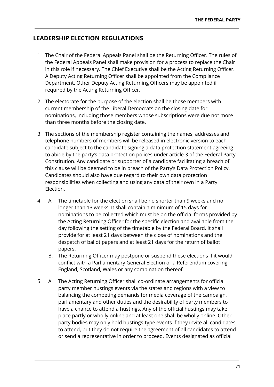# **LEADERSHIP ELECTION REGULATIONS**

- 1 The Chair of the Federal Appeals Panel shall be the Returning Officer. The rules of the Federal Appeals Panel shall make provision for a process to replace the Chair in this role if necessary. The Chief Executive shall be the Acting Returning Officer. A Deputy Acting Returning Officer shall be appointed from the Compliance Department. Other Deputy Acting Returning Officers may be appointed if required by the Acting Returning Officer.
- 2 The electorate for the purpose of the election shall be those members with current membership of the Liberal Democrats on the closing date for nominations, including those members whose subscriptions were due not more than three months before the closing date.
- 3 The sections of the membership register containing the names, addresses and telephone numbers of members will be released in electronic version to each candidate subject to the candidate signing a data protection statement agreeing to abide by the party's data protection polices under article 3 of the Federal Party Constitution. Any candidate or supporter of a candidate facilitating a breach of this clause will be deemed to be in breach of the Party's Data Protection Policy. Candidates should also have due regard to their own data protection responsibilities when collecting and using any data of their own in a Party Election.
- 4 A. The timetable for the election shall be no shorter than 9 weeks and no longer than 13 weeks. It shall contain a minimum of 15 days for nominations to be collected which must be on the official forms provided by the Acting Returning Officer for the specific election and available from the day following the setting of the timetable by the Federal Board. It shall provide for at least 21 days between the close of nominations and the despatch of ballot papers and at least 21 days for the return of ballot papers.
	- B. The Returning Officer may postpone or suspend these elections if it would conflict with a Parliamentary General Election or a Referendum covering England, Scotland, Wales or any combination thereof.
- 5 A. The Acting Returning Officer shall co-ordinate arrangements for official party member hustings events via the states and regions with a view to balancing the competing demands for media coverage of the campaign, parliamentary and other duties and the desirability of party members to have a chance to attend a hustings. Any of the official hustings may take place partly or wholly online and at least one shall be wholly online. Other party bodies may only hold hustings-type events if they invite all candidates to attend, but they do not require the agreement of all candidates to attend or send a representative in order to proceed. Events designated as official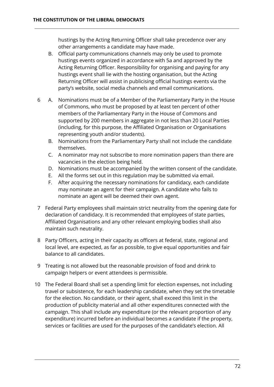hustings by the Acting Returning Officer shall take precedence over any other arrangements a candidate may have made.

- B. Official party communications channels may only be used to promote hustings events organized in accordance with 5a and approved by the Acting Returning Officer. Responsibility for organising and paying for any hustings event shall lie with the hosting organisation, but the Acting Returning Officer will assist in publicising official hustings events via the party's website, social media channels and email communications.
- 6 A. Nominations must be of a Member of the Parliamentary Party in the House of Commons, who must be proposed by at least ten percent of other members of the Parliamentary Party in the House of Commons and supported by 200 members in aggregate in not less than 20 Local Parties (including, for this purpose, the Affiliated Organisation or Organisations representing youth and/or students).
	- B. Nominations from the Parliamentary Party shall not include the candidate themselves.
	- C. A nominator may not subscribe to more nomination papers than there are vacancies in the election being held.
	- D. Nominations must be accompanied by the written consent of the candidate.
	- E. All the forms set out in this regulation may be submitted via email.
	- F. After acquiring the necessary nominations for candidacy, each candidate may nominate an agent for their campaign. A candidate who fails to nominate an agent will be deemed their own agent.
- 7 Federal Party employees shall maintain strict neutrality from the opening date for declaration of candidacy. It is recommended that employees of state parties, Affiliated Organisations and any other relevant employing bodies shall also maintain such neutrality.
- 8 Party Officers, acting in their capacity as officers at federal, state, regional and local level, are expected, as far as possible, to give equal opportunities and fair balance to all candidates.
- 9 Treating is not allowed but the reasonable provision of food and drink to campaign helpers or event attendees is permissible.
- 10 The Federal Board shall set a spending limit for election expenses, not including travel or subsistence, for each leadership candidate, when they set the timetable for the election. No candidate, or their agent, shall exceed this limit in the production of publicity material and all other expenditures connected with the campaign. This shall include any expenditure (or the relevant proportion of any expenditure) incurred before an individual becomes a candidate if the property, services or facilities are used for the purposes of the candidate's election. All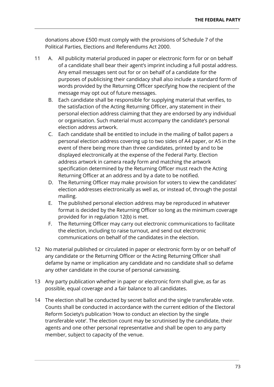donations above £500 must comply with the provisions of Schedule 7 of the Political Parties, Elections and Referendums Act 2000.

- 11 A. All publicity material produced in paper or electronic form for or on behalf of a candidate shall bear their agent's imprint including a full postal address. Any email messages sent out for or on behalf of a candidate for the purposes of publicising their candidacy shall also include a standard form of words provided by the Returning Officer specifying how the recipient of the message may opt out of future messages.
	- B. Each candidate shall be responsible for supplying material that verifies, to the satisfaction of the Acting Returning Officer, any statement in their personal election address claiming that they are endorsed by any individual or organisation. Such material must accompany the candidate's personal election address artwork.
	- C. Each candidate shall be entitled to include in the mailing of ballot papers a personal election address covering up to two sides of A4 paper, or A5 in the event of there being more than three candidates, printed by and to be displayed electronically at the expense of the Federal Party. Election address artwork in camera ready form and matching the artwork specification determined by the Returning Officer must reach the Acting Returning Officer at an address and by a date to be notified.
	- D. The Returning Officer may make provision for voters to view the candidates' election addresses electronically as well as, or instead of, through the postal mailing.
	- E. The published personal election address may be reproduced in whatever format is decided by the Returning Officer so long as the minimum coverage provided for in regulation 12(b) is met.
	- F. The Returning Officer may carry out electronic communications to facilitate the election, including to raise turnout, and send out electronic communications on behalf of the candidates in the election.
- 12 No material published or circulated in paper or electronic form by or on behalf of any candidate or the Returning Officer or the Acting Returning Officer shall defame by name or implication any candidate and no candidate shall so defame any other candidate in the course of personal canvassing.
- 13 Any party publication whether in paper or electronic form shall give, as far as possible, equal coverage and a fair balance to all candidates.
- 14 The election shall be conducted by secret ballot and the single transferable vote. Counts shall be conducted in accordance with the current edition of the Electoral Reform Society's publication 'How to conduct an election by the single transferable vote'. The election count may be scrutinised by the candidate, their agents and one other personal representative and shall be open to any party member, subject to capacity of the venue.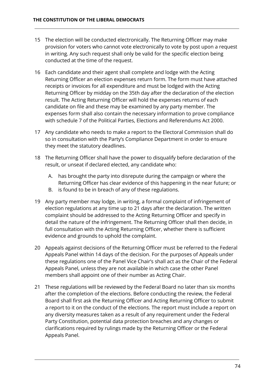- 15 The election will be conducted electronically. The Returning Officer may make provision for voters who cannot vote electronically to vote by post upon a request in writing. Any such request shall only be valid for the specific election being conducted at the time of the request.
- 16 Each candidate and their agent shall complete and lodge with the Acting Returning Officer an election expenses return form. The form must have attached receipts or invoices for all expenditure and must be lodged with the Acting Returning Officer by midday on the 35th day after the declaration of the election result. The Acting Returning Officer will hold the expenses returns of each candidate on file and these may be examined by any party member. The expenses form shall also contain the necessary information to prove compliance with schedule 7 of the Political Parties, Elections and Referendums Act 2000.
- 17 Any candidate who needs to make a report to the Electoral Commission shall do so in consultation with the Party's Compliance Department in order to ensure they meet the statutory deadlines.
- 18 The Returning Officer shall have the power to disqualify before declaration of the result, or unseat if declared elected, any candidate who:
	- A. has brought the party into disrepute during the campaign or where the Returning Officer has clear evidence of this happening in the near future; or
	- B. is found to be in breach of any of these regulations.
- 19 Any party member may lodge, in writing, a formal complaint of infringement of election regulations at any time up to 21 days after the declaration. The written complaint should be addressed to the Acting Returning Officer and specify in detail the nature of the infringement. The Returning Officer shall then decide, in full consultation with the Acting Returning Officer, whether there is sufficient evidence and grounds to uphold the complaint.
- 20 Appeals against decisions of the Returning Officer must be referred to the Federal Appeals Panel within 14 days of the decision. For the purposes of Appeals under these regulations one of the Panel Vice Chair's shall act as the Chair of the Federal Appeals Panel, unless they are not available in which case the other Panel members shall appoint one of their number as Acting Chair.
- 21 These regulations will be reviewed by the Federal Board no later than six months after the completion of the elections. Before conducting the review, the Federal Board shall first ask the Returning Officer and Acting Returning Officer to submit a report to it on the conduct of the elections. The report must include a report on any diversity measures taken as a result of any requirement under the Federal Party Constitution, potential data protection breaches and any changes or clarifications required by rulings made by the Returning Officer or the Federal Appeals Panel.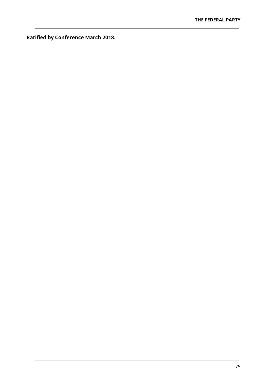**Ratified by Conference March 2018.**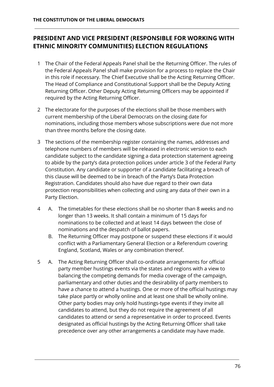# **PRESIDENT AND VICE PRESIDENT (RESPONSIBLE FOR WORKING WITH ETHNIC MINORITY COMMUNITIES) ELECTION REGULATIONS**

- 1 The Chair of the Federal Appeals Panel shall be the Returning Officer. The rules of the Federal Appeals Panel shall make provision for a process to replace the Chair in this role if necessary. The Chief Executive shall be the Acting Returning Officer. The Head of Compliance and Constitutional Support shall be the Deputy Acting Returning Officer. Other Deputy Acting Returning Officers may be appointed if required by the Acting Returning Officer.
- 2 The electorate for the purposes of the elections shall be those members with current membership of the Liberal Democrats on the closing date for nominations, including those members whose subscriptions were due not more than three months before the closing date.
- 3 The sections of the membership register containing the names, addresses and telephone numbers of members will be released in electronic version to each candidate subject to the candidate signing a data protection statement agreeing to abide by the party's data protection polices under article 3 of the Federal Party Constitution. Any candidate or supporter of a candidate facilitating a breach of this clause will be deemed to be in breach of the Party's Data Protection Registration. Candidates should also have due regard to their own data protection responsibilities when collecting and using any data of their own in a Party Election.
- 4 A. The timetables for these elections shall be no shorter than 8 weeks and no longer than 13 weeks. It shall contain a minimum of 15 days for nominations to be collected and at least 14 days between the close of nominations and the despatch of ballot papers.
	- B. The Returning Officer may postpone or suspend these elections if it would conflict with a Parliamentary General Election or a Referendum covering England, Scotland, Wales or any combination thereof.
- 5 A. The Acting Returning Officer shall co-ordinate arrangements for official party member hustings events via the states and regions with a view to balancing the competing demands for media coverage of the campaign, parliamentary and other duties and the desirability of party members to have a chance to attend a hustings. One or more of the official hustings may take place partly or wholly online and at least one shall be wholly online. Other party bodies may only hold hustings-type events if they invite all candidates to attend, but they do not require the agreement of all candidates to attend or send a representative in order to proceed. Events designated as official hustings by the Acting Returning Officer shall take precedence over any other arrangements a candidate may have made.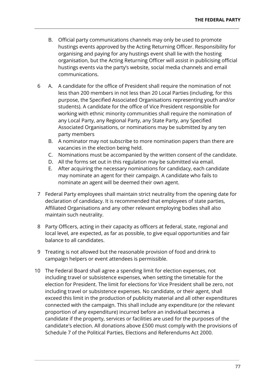- B. Official party communications channels may only be used to promote hustings events approved by the Acting Returning Officer. Responsibility for organising and paying for any hustings event shall lie with the hosting organisation, but the Acting Returning Officer will assist in publicising official hustings events via the party's website, social media channels and email communications.
- 6 A. A candidate for the office of President shall require the nomination of not less than 200 members in not less than 20 Local Parties (including, for this purpose, the Specified Associated Organisations representing youth and/or students). A candidate for the office of Vice President responsible for working with ethnic minority communities shall require the nomination of any Local Party, any Regional Party, any State Party, any Specified Associated Organisations, or nominations may be submitted by any ten party members
	- B. A nominator may not subscribe to more nomination papers than there are vacancies in the election being held.
	- C. Nominations must be accompanied by the written consent of the candidate.
	- D. All the forms set out in this regulation may be submitted via email.
	- E. After acquiring the necessary nominations for candidacy, each candidate may nominate an agent for their campaign. A candidate who fails to nominate an agent will be deemed their own agent.
- 7 Federal Party employees shall maintain strict neutrality from the opening date for declaration of candidacy. It is recommended that employees of state parties, Affiliated Organisations and any other relevant employing bodies shall also maintain such neutrality.
- 8 Party Officers, acting in their capacity as officers at federal, state, regional and local level, are expected, as far as possible, to give equal opportunities and fair balance to all candidates.
- 9 Treating is not allowed but the reasonable provision of food and drink to campaign helpers or event attendees is permissible.
- 10 The Federal Board shall agree a spending limit for election expenses, not including travel or subsistence expenses, when setting the timetable for the election for President. The limit for elections for Vice President shall be zero, not including travel or subsistence expenses. No candidate, or their agent, shall exceed this limit in the production of publicity material and all other expenditures connected with the campaign. This shall include any expenditure (or the relevant proportion of any expenditure) incurred before an individual becomes a candidate if the property, services or facilities are used for the purposes of the candidate's election. All donations above £500 must comply with the provisions of Schedule 7 of the Political Parties, Elections and Referendums Act 2000.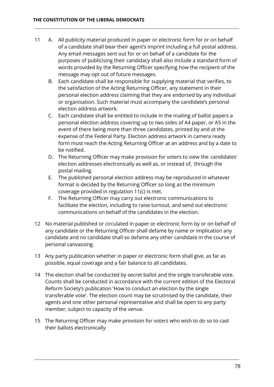- 11 A. All publicity material produced in paper or electronic form for or on behalf of a candidate shall bear their agent's imprint including a full postal address. Any email messages sent out for or on behalf of a candidate for the purposes of publicising their candidacy shall also include a standard form of words provided by the Returning Officer specifying how the recipient of the message may opt out of future messages.
	- B. Each candidate shall be responsible for supplying material that verifies, to the satisfaction of the Acting Returning Officer, any statement in their personal election address claiming that they are endorsed by any individual or organisation. Such material must accompany the candidate's personal election address artwork.
	- C. Each candidate shall be entitled to include in the mailing of ballot papers a personal election address covering up to two sides of A4 paper, or A5 in the event of there being more than three candidates, printed by and at the expense of the Federal Party. Election address artwork in camera ready form must reach the Acting Returning Officer at an address and by a date to be notified.
	- D. The Returning Officer may make provision for voters to view the candidates' election addresses electronically as well as, or instead of, through the postal mailing.
	- E. The published personal election address may be reproduced in whatever format is decided by the Returning Officer so long as the minimum coverage provided in regulation 11(c) is met.
	- F. The Returning Officer may carry out electronic communications to facilitate the election, including to raise turnout, and send out electronic communications on behalf of the candidates in the election.
- 12 No material published or circulated in paper or electronic form by or on behalf of any candidate or the Returning Officer shall defame by name or implication any candidate and no candidate shall so defame any other candidate in the course of personal canvassing.
- 13 Any party publication whether in paper or electronic form shall give, as far as possible, equal coverage and a fair balance to all candidates.
- 14 The election shall be conducted by secret ballot and the single transferable vote. Counts shall be conducted in accordance with the current edition of the Electoral Reform Society's publication 'How to conduct an election by the single transferable vote'. The election count may be scrutinised by the candidate, their agents and one other personal representative and shall be open to any party member, subject to capacity of the venue.
- 15 The Returning Officer may make provision for voters who wish to do so to cast their ballots electronically.